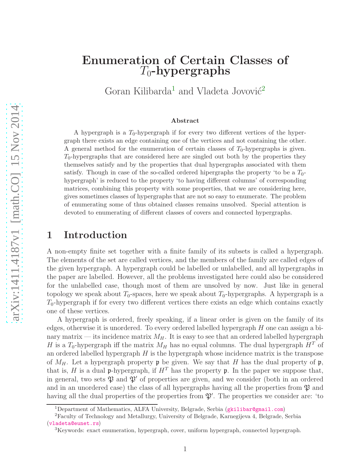# Enumeration of Certain Classes of  $T_0$ -hypergraphs

Goran Kilibarda<sup>[1](#page-0-0)</sup> and Vladeta Jovović<sup>[2](#page-0-1)</sup>

#### Abstract

A hypergraph is a  $T_0$ -hypergraph if for every two different vertices of the hypergraph there exists an edge containing one of the vertices and not containing the other. A general method for the enumeration of certain classes of  $T_0$ -hypergraphs is given.  $T_0$ -hypergraphs that are considered here are singled out both by the properties they themselves satisfy and by the properties that dual hypergraphs associated with them satisfy. Though in case of the so-called ordered hipergraphs the property 'to be a  $T_0$ hypergraph' is reduced to the property 'to having different columns' of corresponding matrices, combining this property with some properties, that we are considering here, gives sometimes classes of hypergraphs that are not so easy to enumerate. The problem of enumerating some of thus obtained classes remains unsolved. Special attention is devoted to enumerating of different classes of covers and connected hypergraphs.

#### 1 Introduction

A non-empty finite set together with a finite family of its subsets is called a hypergraph. The elements of the set are called vertices, and the members of the family are called edges of the given hypergraph. A hypergraph could be labelled or unlabelled, and all hypergraphs in the paper are labelled. However, all the problems investigated here could also be considered for the unlabelled case, though most of them are unsolved by now. Just like in general topology we speak about  $T_0$ -spaces, here we speak about  $T_0$ -hypergraphs. A hypergraph is a  $T_0$ -hypergraph if for every two different vertices there exists an edge which contains exactly one of these vertices.

A hypergraph is ordered, freely speaking, if a linear order is given on the family of its edges, otherwise it is unordered. To every ordered labelled hypergraph H one can assign a binary matrix — its incidence matrix  $M_H$ . It is easy to see that an ordered labelled hypergraph H is a  $T_0$ -hypergraph iff the matrix  $M_H$  has no equal columns. The dual hypergraph  $H^T$  of an ordered labelled hypergraph  $H$  is the hypergraph whose incidence matrix is the transpose of  $M_H$ . Let a hypergraph property  $\mathfrak p$  be given. We say that H has the dual property of  $\mathfrak p$ , that is, H is a dual p-hypergraph, if  $H<sup>T</sup>$  has the property p. In the paper we suppose that, in general, two sets  $\mathfrak{P}$  and  $\mathfrak{P}'$  of properties are given, and we consider (both in an ordered and in an unordered case) the class of all hypergraphs having all the properties from  $\mathfrak P$  and having all the dual properties of the properties from  $\mathfrak{P}'$ . The properties we consider are: 'to

<span id="page-0-0"></span><sup>&</sup>lt;sup>1</sup>Department of Mathematics, ALFA University, Belgrade, Serbia ([gkilibar@gmail.com](mailto:gkilibar@gmail.com))

<sup>2</sup>Faculty of Technology and Metallurgy, University of Belgrade, Karnegijeva 4, Belgrade, Serbia ([vladeta@eunet.rs](mailto:vladeta@eunet.rs))

<span id="page-0-1"></span><sup>3</sup>Keywords: exact enumeration, hypergraph, cover, uniform hypergraph, connected hypergraph.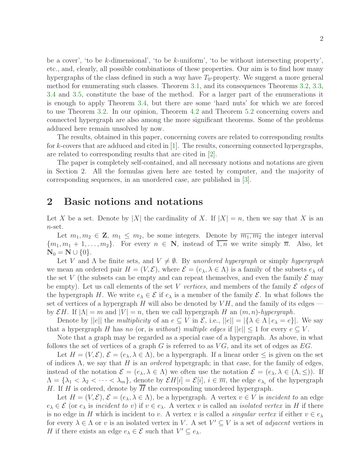be a cover', 'to be k-dimensional', 'to be k-uniform', 'to be without intersecting property', etc., and, clearly, all possible combinations of these properties. Our aim is to find how many hypergraphs of the class defined in such a way have  $T_0$ -property. We suggest a more general method for enumerating such classes. Theorem [3.1,](#page-5-0) and its consequences Theorems [3.2,](#page-6-0) [3.3,](#page-7-0) [3.4](#page-8-0) and [3.5,](#page-8-1) constitute the base of the method. For a larger part of the enumerations it is enough to apply Theorem [3.4,](#page-8-0) but there are some 'hard nuts' for which we are forced to use Theorem [3.2.](#page-6-0) In our opinion, Theorem [4.2](#page-13-0) and Theorem [5.2](#page-20-0) concerning covers and connected hypergraph are also among the more significant theorems. Some of the problems adduced here remain unsolved by now.

The results, obtained in this paper, concerning covers are related to corresponding results for k-covers that are adduced and cited in [\[1\]](#page-22-0). The results, concerning connected hypergraphs, are related to corresponding results that are cited in [\[2\]](#page-22-1).

The paper is completely self-contained, and all necessary notions and notations are given in Section 2. All the formulas given here are tested by computer, and the majority of corresponding sequences, in an unordered case, are published in [\[3\]](#page-22-2).

#### 2 Basic notions and notations

Let X be a set. Denote by |X| the cardinality of X. If  $|X| = n$ , then we say that X is an  $n$ -set.

Let  $m_1, m_2 \in \mathbb{Z}$ ,  $m_1 \leq m_2$ , be some integers. Denote by  $\overline{m_1, m_2}$  the integer interval  ${m_1, m_1 + 1, \ldots, m_2}$ . For every  $n \in \mathbb{N}$ , instead of 1, *n* we write simply  $\overline{n}$ . Also, let  $N_0 = N \cup \{0\}.$ 

Let V and  $\Lambda$  be finite sets, and  $V \neq \emptyset$ . By unordered hypergraph or simply hypergraph we mean an ordered pair  $H = (V, \mathcal{E})$ , where  $\mathcal{E} = (e_{\lambda}, \lambda \in \Lambda)$  is a family of the subsets  $e_{\lambda}$  of the set V (the subsets can be empty and can repeat themselves, and even the family  $\mathcal E$  may be empty). Let us call elements of the set V vertices, and members of the family  $\mathcal E$  edges of the hypergraph H. We write  $e_{\lambda} \in \mathcal{E}$  if  $e_{\lambda}$  is a member of the family  $\mathcal{E}$ . In what follows the set of vertices of a hypergraph H will also be denoted by  $V$ H, and the family of its edges by  $\mathcal{E}H$ . If  $|\Lambda|=m$  and  $|V|=n$ , then we call hypergraph H an  $(m, n)$ -hypergraph.

Denote by  $||e||$  the *multiplicity* of an  $e \subseteq V$  in  $\mathcal{E}$ , i.e.,  $||e|| = |\{\lambda \in \Lambda | e_{\lambda} = e\}|$ . We say that a hypergraph H has no (or, is without) multiple edges if  $||e|| \leq 1$  for every  $e \subset V$ .

Note that a graph may be regarded as a special case of a hypergraph. As above, in what follows the set of vertices of a graph G is referred to as  $VG$ , and its set of edges as  $EG$ .

Let  $H = (V, \mathcal{E}), \mathcal{E} = (e_{\lambda}, \lambda \in \Lambda)$ , be a hypergraph. If a linear order  $\leq$  is given on the set of indices  $\Lambda$ , we say that H is an *ordered* hypergraph; in that case, for the family of edges, instead of the notation  $\mathcal{E} = (e_{\lambda}, \lambda \in \Lambda)$  we often use the notation  $\mathcal{E} = (e_{\lambda}, \lambda \in (\Lambda, \leq))$ . If  $\Lambda = \{\lambda_1 < \lambda_2 < \cdots < \lambda_m\}$ , denote by  $\mathcal{E}H[i] = \mathcal{E}[i]$ ,  $i \in \overline{m}$ , the edge  $e_{\lambda_i}$  of the hypergraph H. If H is ordered, denote by  $\overline{H}$  the corresponding unordered hypergraph.

Let  $H = (V, \mathcal{E}), \mathcal{E} = (e_{\lambda}, \lambda \in \Lambda)$ , be a hypergraph. A vertex  $v \in V$  is incident to an edge  $e_{\lambda} \in \mathcal{E}$  (or  $e_{\lambda}$  is incident to v) if  $v \in e_{\lambda}$ . A vertex v is called an *isolated vertex* in H if there is no edge in H which is incident to v. A vertex v is called a *singular vertex* if either  $v \in e_{\lambda}$ for every  $\lambda \in \Lambda$  or v is an isolated vertex in V. A set  $V' \subseteq V$  is a set of *adjacent* vertices in H if there exists an edge  $e_{\lambda} \in \mathcal{E}$  such that  $V' \subseteq e_{\lambda}$ .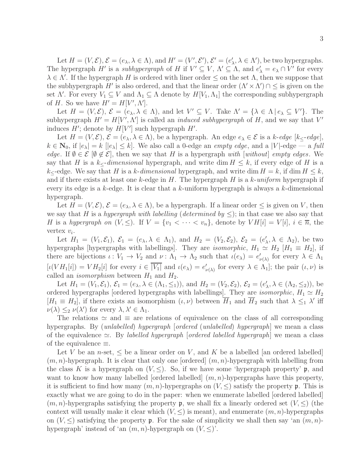Let  $H = (V, \mathcal{E}), \mathcal{E} = (e_{\lambda}, \lambda \in \Lambda)$ , and  $H' = (V', \mathcal{E}'), \mathcal{E}' = (e'_{\lambda}, \lambda \in \Lambda')$ , be two hypergraphs. The hypergraph  $H'$  is a *subhypergraph* of H if  $V' \subseteq V$ ,  $\Lambda' \subseteq \Lambda$ , and  $e'_{\lambda} = e_{\lambda} \cap V'$  for every  $\lambda \in \Lambda'$ . If the hypergraph H is ordered with liner order  $\leq$  on the set  $\Lambda$ , then we suppose that the subhypergraph H' is also ordered, and that the linear order  $(\Lambda' \times \Lambda') \cap \leq$  is given on the set  $\Lambda'$ . For every  $V_1 \subseteq V$  and  $\Lambda_1 \subseteq \Lambda$  denote by  $H[V_1, \Lambda_1]$  the corresponding subhypergraph of H. So we have  $H' = H[V', \Lambda']$ .

Let  $H = (V, \mathcal{E}), \, \mathcal{E} = (e_{\lambda}, \lambda \in \Lambda),$  and let  $V' \subseteq V$ . Take  $\Lambda' = {\lambda \in \Lambda \, | \, e_{\lambda} \subseteq V' }$ . The subhypergraph  $H' = H[V', \Lambda']$  is called an *induced subhypergraph* of H, and we say that V' induces  $H'$ ; denote by  $H[V']$  such hypergraph  $H'$ .

Let  $H = (V, \mathcal{E}), \mathcal{E} = (e_{\lambda}, \lambda \in \Lambda)$ , be a hypergraph. An edge  $e_{\lambda} \in \mathcal{E}$  is a k-edge  $[k_{\leq}$ -edge],  $k \in \mathbb{N}_0$ , if  $|e_\lambda| = k |e_\lambda| \leq k$ . We also call a 0-edge an *empty edge*, and a |V|-edge — a full edge. If  $\emptyset \in \mathcal{E}$   $[\emptyset \notin \mathcal{E}]$ , then we say that H is a hypergraph with [without] empty edges. We say that H is a k<sub> $lt$ </sub>-dimensional hypergraph, and write dim  $H \leq k$ , if every edge of H is a  $k_{\leq}$ -edge. We say that H is a k-dimensional hypergraph, and write dim  $H = k$ , if dim  $H \leq k$ , and if there exists at least one k-edge in H. The hypergraph H is a k-uniform hypergraph if every its edge is a k-edge. It is clear that a k-uniform hypergraph is always a k-dimensional hypergraph.

Let  $H = (V, \mathcal{E}), \mathcal{E} = (e_{\lambda}, \lambda \in \Lambda)$ , be a hypergraph. If a linear order  $\leq$  is given on V, then we say that H is a hypergraph with labelling (determined by  $\leq$ ); in that case we also say that H is a hypergraph on  $(V, \leq)$ . If  $V = \{v_1 < \cdots < v_n\}$ , denote by  $V H[i] = V[i]$ ,  $i \in \overline{n}$ , the vertex  $v_i$ .

Let  $H_1 = (V_1, \mathcal{E}_1), \mathcal{E}_1 = (e_\lambda, \lambda \in \Lambda_1),$  and  $H_2 = (V_2, \mathcal{E}_2), \mathcal{E}_2 = (e'_\lambda, \lambda \in \Lambda_2),$  be two hypergraphs [hypergraphs with labellings]. They are *isomorphic*,  $H_1 \simeq H_2$  [ $H_1 \equiv H_2$ ], if there are bijections  $\iota: V_1 \to V_2$  and  $\nu: \Lambda_1 \to \Lambda_2$  such that  $\iota(e_\lambda) = e'_{\nu(\lambda)}$  for every  $\lambda \in \Lambda_1$  $[\iota(VH_1[i]) = VH_2[i]$  for every  $i \in |V_1|$  and  $\iota(e_{\lambda}) = e'_{\nu(\lambda)}$  for every  $\lambda \in \Lambda_1$ ; the pair  $(\iota, \nu)$  is called an *isomorphism* between  $H_1$  and  $H_2$ .

Let  $H_1 = (V_1, \mathcal{E}_1), \, \mathcal{E}_1 = (e_\lambda, \lambda \in (\Lambda_1, \leq_1)),$  and  $H_2 = (V_2, \mathcal{E}_2), \, \mathcal{E}_2 = (e'_\lambda, \lambda \in (\Lambda_2, \leq_2)),$  be ordered hypergraphs [ordered hypergraphs with labellings]. They are *isomorphic*,  $H_1 \simeq H_2$  $[H_1 \equiv H_2]$ , if there exists an isomorphism  $(\iota, \nu)$  between  $\overline{H}_1$  and  $\overline{H}_2$  such that  $\lambda \leq_1 \lambda'$  iff  $\nu(\lambda) \leq_2 \nu(\lambda')$  for every  $\lambda, \lambda' \in \Lambda_1$ .

The relations  $\approx$  and  $\equiv$  are relations of equivalence on the class of all corresponding hypergraphs. By *(unlabelled) hypergraph [ordered (unlabelled) hypergraph*] we mean a class of the equivalence  $\approx$ . By labelled hypergraph [ordered labelled hypergraph] we mean a class of the equivalence  $\equiv$ .

Let V be an *n*-set,  $\leq$  be a linear order on V, and K be a labelled [an ordered labelled]  $(m, n)$ -hypergraph. It is clear that only one [ordered]  $(m, n)$ -hypergraph with labelling from the class K is a hypergraph on  $(V, \leq)$ . So, if we have some 'hypergraph property' p, and want to know how many labelled [ordered labelled]  $(m, n)$ -hypergraphs have this property, it is sufficient to find how many  $(m, n)$ -hypergraphs on  $(V, \leq)$  satisfy the property p. This is exactly what we are going to do in the paper: when we enumerate labelled [ordered labelled]  $(m, n)$ -hypergraphs satisfying the property p, we shall fix a linearly ordered set  $(V, \leq)$  (the context will usually make it clear which  $(V, \leq)$  is meant), and enumerate  $(m, n)$ -hypergraphs on  $(V, \leq)$  satisfying the property p. For the sake of simplicity we shall then say 'an  $(m, n)$ hypergraph' instead of 'an  $(m, n)$ -hypergraph on  $(V, \leq)$ '.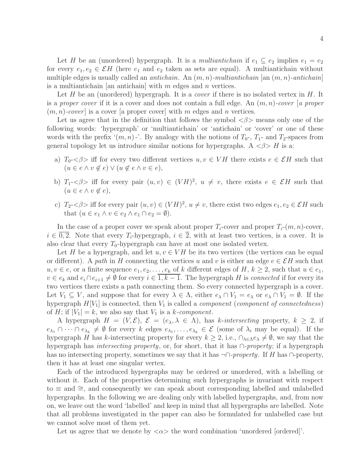Let H be an (unordered) hypergraph. It is a multiantichain if  $e_1 \subseteq e_2$  implies  $e_1 = e_2$ for every  $e_1, e_2 \in \mathcal{E}H$  (here  $e_1$  and  $e_2$  taken as sets are equal). A multiantichain without multiple edges is usually called an *antichain*. An  $(m, n)$ -multiantichain [an  $(m, n)$ -antichain] is a multiantichain [an antichain] with  $m$  edges and  $n$  vertices.

Let H be an (unordered) hypergraph. It is a *cover* if there is no isolated vertex in  $H$ . It is a proper cover if it is a cover and does not contain a full edge. An  $(m, n)$ -cover [a proper  $(m, n)$ -cover is a cover [a proper cover] with m edges and n vertices.

Let us agree that in the definition that follows the symbol  $\langle \beta \rangle$  means only one of the following words: 'hypergraph' or 'multiantichain' or 'antichain' or 'cover' or one of these words with the prefix  $(m, n)$ -'. By analogy with the notions of  $T_0$ -,  $T_1$ - and  $T_2$ -spaces from general topology let us introduce similar notions for hypergraphs. A  $\langle \beta \rangle H$  is a:

- a)  $T_0$ - $\langle \beta \rangle$  iff for every two different vertices  $u, v \in VH$  there exists  $e \in \mathcal{E}H$  such that  $(u \in e \land v \notin e) \lor (u \notin e \land v \in e),$
- b)  $T_1 \leq \beta >$  iff for every pair  $(u, v) \in (V H)^2$ ,  $u \neq v$ , there exists  $e \in \mathcal{E}H$  such that  $(u \in e \land v \notin e),$
- c)  $T_2 \leq \beta > 1$  if for every pair  $(u, v) \in (V H)^2$ ,  $u \neq v$ , there exist two edges  $e_1, e_2 \in \mathcal{E}H$  such that  $(u \in e_1 \land v \in e_2 \land e_1 \cap e_2 = \emptyset).$

In the case of a proper cover we speak about proper  $T_i$ -cover and proper  $T_i$ - $(m, n)$ -cover,  $i \in \overline{0,2}$ . Note that every  $T_i$ -hypergraph,  $i \in \overline{2}$ , with at least two vertices, is a cover. It is also clear that every  $T_0$ -hypergraph can have at most one isolated vertex.

Let H be a hypergraph, and let  $u, v \in VH$  be its two vertices (the vertices can be equal or different). A path in H connecting the vertices u and v is either an edge  $e \in \mathcal{E}H$  such that  $u, v \in e$ , or a finite sequence  $e_1, e_2, \ldots, e_k$  of k different edges of H,  $k \geq 2$ , such that  $u \in e_1$ ,  $v \in e_k$  and  $e_i \cap e_{i+1} \neq \emptyset$  for every  $i \in \overline{1, k-1}$ . The hypergraph H is connected if for every its two vertices there exists a path connecting them. So every connected hypergraph is a cover. Let  $V_1 \subseteq V$ , and suppose that for every  $\lambda \in \Lambda$ , either  $e_\lambda \cap V_1 = e_\lambda$  or  $e_\lambda \cap V_1 = \emptyset$ . If the hypergraph  $H[V_1]$  is connected, then  $V_1$  is called a *component* (*component of connectedness*) of H; if  $|V_1| = k$ , we also say that  $V_1$  is a k-component.

A hypergraph  $H = (V, \mathcal{E}), \mathcal{E} = (e_{\lambda}, \lambda \in \Lambda)$ , has k-intersecting property,  $k \geq 2$ , if  $e_{\lambda_1} \cap \cdots \cap e_{\lambda_k} \neq \emptyset$  for every k edges  $e_{\lambda_1}, \ldots, e_{\lambda_k} \in \mathcal{E}$  (some of  $\lambda_i$  may be equal). If the hypergraph H has k-intersecting property for every  $k \geq 2$ , i.e.,  $\bigcap_{\lambda \in \Lambda} e_{\lambda} \neq \emptyset$ , we say that the hypergraph has *intersecting property*, or, for short, that it has  $\cap$ -*property*; if a hypergraph has no intersecting property, sometimes we say that it has  $\neg \cap \text{-}property$ . If H has  $\cap$ -property, then it has at least one singular vertex.

Each of the introduced hypergraphs may be ordered or unordered, with a labelling or without it. Each of the properties determining such hypergraphs is invariant with respect to  $\equiv$  and  $\cong$ , and consequently we can speak about corresponding labelled and unlabelled hypergraphs. In the following we are dealing only with labelled hypergraphs, and, from now on, we leave out the word 'labelled' and keep in mind that all hypergraphs are labelled. Note that all problems investigated in the paper can also be formulated for unlabelled case but we cannot solve most of them yet.

Let us agree that we denote by  $\langle \alpha \rangle$  the word combination 'unordered [ordered]'.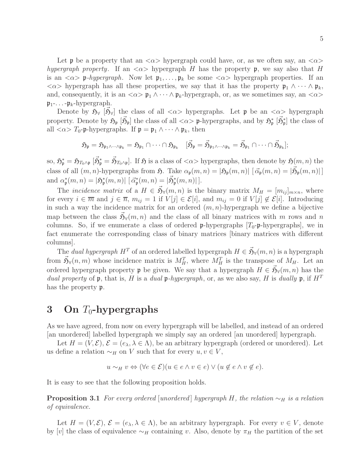Let **p** be a property that an  $\langle \alpha \rangle$  hypergraph could have, or, as we often say, an  $\langle \alpha \rangle$ hypergraph property. If an  $\langle \alpha \rangle$  hypergraph H has the property p, we say also that H is an  $\langle \alpha \rangle$  p-hypergraph. Now let  $\mathfrak{p}_1, \ldots, \mathfrak{p}_k$  be some  $\langle \alpha \rangle$  hypergraph properties. If an  $\langle \alpha \rangle$  hypergraph has all these properties, we say that it has the property  $\mathfrak{p}_1 \wedge \cdots \wedge \mathfrak{p}_k$ , and, consequently, it is an  $\langle \alpha \rangle$   $\mathfrak{p}_1 \wedge \cdots \wedge \mathfrak{p}_k$ -hypergraph, or, as we sometimes say, an  $\langle \alpha \rangle$  $\mathfrak{p}_1$ -...- $\mathfrak{p}_k$ -hypergraph.

Denote by  $\tilde{\mathfrak{H}}_{\forall}$  [ $\vec{\mathfrak{H}}_{\forall}$ ] the class of all  $\langle \alpha \rangle$  hypergraphs. Let  $\mathfrak{p}$  be an  $\langle \alpha \rangle$  hypergraph property. Denote by  $\mathfrak{H}_{\mathfrak{p}}\left[\vec{\mathfrak{H}}_{\mathfrak{p}}\right]$  the class of all  $\langle \alpha \rangle$  **p**-hypergraphs, and by  $\mathfrak{H}_{\mathfrak{p}}^*\left[\vec{\mathfrak{H}}_{\mathfrak{p}}^*\right]$  the class of all  $\langle \alpha \rangle T_0$ -p-hypergraphs. If  $\mathfrak{p} = \mathfrak{p}_1 \wedge \cdots \wedge \mathfrak{p}_k$ , then

$$
\mathfrak{H}_{\mathfrak{p}}=\mathfrak{H}_{\mathfrak{p}_1\wedge\cdots\wedge\mathfrak{p}_k}=\mathfrak{H}_{\mathfrak{p}_1}\cap\cdots\cap \mathfrak{H}_{\mathfrak{p}_k}\quad [\vec{\mathfrak{H}}_{\mathfrak{p}}=\vec{\mathfrak{H}}_{\mathfrak{p}_1\wedge\cdots\wedge\mathfrak{p}_k}=\vec{\mathfrak{H}}_{\mathfrak{p}_1}\cap\cdots\cap \vec{\mathfrak{H}}_{\mathfrak{p}_k}];
$$

so,  $\mathfrak{H}_{\mathfrak{p}}^* = \mathfrak{H}_{T_0 \wedge \mathfrak{p}} [\vec{\mathfrak{H}}_{\mathfrak{p}}^* = \vec{\mathfrak{H}}_{T_0 \wedge \mathfrak{p}}]$ . If  $\mathfrak{H}$  is a class of  $\langle \alpha \rangle$  hypergraphs, then denote by  $\mathfrak{H}(m, n)$  the class of all  $(m, n)$ -hypergraphs from  $\mathfrak{H}$ . Take  $\alpha_{\mathfrak{p}}(m, n) = |\mathfrak{H}_{\mathfrak{p}}(m, n)| \left[ \vec{\alpha}_{\mathfrak{p}}(m, n) = |\vec{\mathfrak{H}}_{\mathfrak{p}}(m, n)| \right]$ and  $\alpha^*_{\mathfrak{p}}(m,n) = |\mathfrak{H}^*_{\mathfrak{p}}(m,n)| [\vec{\alpha}^*_{\mathfrak{p}}(m,n) = |\vec{\mathfrak{H}}^*_{\mathfrak{p}}(m,n)|].$ 

The *incidence matrix* of a  $H \in \mathfrak{H}_{\forall}(m,n)$  is the binary matrix  $M_H = [m_{ij}]_{m \times n}$ , where for every  $i \in \overline{m}$  and  $j \in \overline{n}$ ,  $m_{ij} = 1$  if  $V[j] \in \mathcal{E}[i]$ , and  $m_{ij} = 0$  if  $V[j] \notin \mathcal{E}[i]$ . Introducing in such a way the incidence matrix for an ordered  $(m, n)$ -hypergraph we define a bijective map between the class  $\vec{\mathfrak{H}}_{\mathfrak{A}}(m,n)$  and the class of all binary matrices with m rows and n columns. So, if we enumerate a class of ordered **p**-hypergraphs  $[T_0$ -**p**-hypergraphs], we in fact enumerate the corresponding class of binary matrices [binary matrices with different columns].

The *dual hypergraph*  $H^T$  of an ordered labelled hypergraph  $H \in \vec{\mathfrak{H}}_{\mathfrak{A}}(m,n)$  is a hypergraph from  $\vec{\mathfrak{H}}_{\mathfrak{h}}(n,m)$  whose incidence matrix is  $M_H^T$ , where  $M_H^T$  is the transpose of  $M_H$ . Let an ordered hypergraph property  $\mathfrak p$  be given. We say that a hypergraph  $H \in \vec{\mathfrak H}_{\mathfrak N}(m,n)$  has the dual property of  $\mathfrak p$ , that is, H is a dual  $\mathfrak p$ -hypergraph, or, as we also say, H is dually  $\mathfrak p$ , if  $H^T$ has the property p.

## 3 On  $T_0$ -hypergraphs

As we have agreed, from now on every hypergraph will be labelled, and instead of an ordered [an unordered] labelled hypergraph we simply say an ordered [an unordered] hypergraph.

Let  $H = (V, \mathcal{E}), \mathcal{E} = (e_{\lambda}, \lambda \in \Lambda)$ , be an arbitrary hypergraph (ordered or unordered). Let us define a relation  $\sim_H$  on V such that for every  $u, v \in V$ ,

$$
u \sim_H v \Leftrightarrow (\forall e \in \mathcal{E})(u \in e \land v \in e) \lor (u \notin e \land v \notin e).
$$

It is easy to see that the following proposition holds.

**Proposition 3.1** For every ordered [unordered] hypergraph H, the relation  $\sim_H$  is a relation of equivalence.

Let  $H = (V, \mathcal{E}), \, \mathcal{E} = (e_{\lambda}, \lambda \in \Lambda),$  be an arbitrary hypergraph. For every  $v \in V$ , denote by [v] the class of equivalence  $\sim_H$  containing v. Also, denote by  $\pi_H$  the partition of the set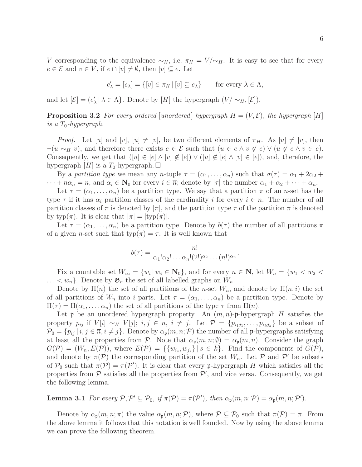$$
e'_{\lambda} = [e_{\lambda}] = \{ [v] \in \pi_H \, | \, [v] \subseteq e_{\lambda} \} \quad \text{for every } \lambda \in \Lambda,
$$

and let  $[\mathcal{E}] = (e'_{\lambda} | \lambda \in \Lambda]$ . Denote by  $[H]$  the hypergraph  $(V / \sim_H, [\mathcal{E}])$ .

**Proposition 3.2** For every ordered [unordered] hypergraph  $H = (V, \mathcal{E})$ , the hypergraph [H] is a  $T_0$ -hypergraph.

*Proof.* Let [u] and [v], [u]  $\neq$  [v], be two different elements of  $\pi_H$ . As [u]  $\neq$  [v], then  $\neg(u \sim_H v)$ , and therefore there exists  $e \in \mathcal{E}$  such that  $(u \in e \land v \notin e) \lor (u \notin e \land v \in e)$ . Consequently, we get that  $([u] \in [e] \wedge [v] \notin [e]) \vee ([u] \notin [e] \wedge [v] \in [e])$ , and, therefore, the hypergraph [H] is a  $T_0$ -hypergraph.  $\Box$ 

By a partition type we mean any n-tuple  $\tau = (\alpha_1, \ldots, \alpha_n)$  such that  $\sigma(\tau) = \alpha_1 + 2\alpha_2 +$  $\cdots + n\alpha_n = n$ , and  $\alpha_i \in \mathbb{N}_0$  for every  $i \in \overline{n}$ ; denote by  $|\tau|$  the number  $\alpha_1 + \alpha_2 + \cdots + \alpha_n$ .

Let  $\tau = (\alpha_1, \ldots, \alpha_n)$  be a partition type. We say that a partition  $\pi$  of an *n*-set has the type  $\tau$  if it has  $\alpha_i$  partition classes of the cardinality i for every  $i \in \overline{n}$ . The number of all partition classes of  $\pi$  is denoted by  $|\pi|$ , and the partition type  $\tau$  of the partition  $\pi$  is denoted by typ( $\pi$ ). It is clear that  $|\pi| = |\text{typ}(\pi)|$ .

Let  $\tau = (\alpha_1, \ldots, \alpha_n)$  be a partition type. Denote by  $b(\tau)$  the number of all partitions  $\pi$ of a given *n*-set such that  $\text{typ}(\pi) = \tau$ . It is well known that

$$
b(\tau) = \frac{n!}{\alpha_1! \alpha_2! \dots \alpha_n! (2!)^{\alpha_2} \dots (n!)^{\alpha_n}}.
$$

Fix a countable set  $W_{\infty} = \{w_i | w_i \in \mathbf{N}_0\}$ , and for every  $n \in \mathbf{N}$ , let  $W_n = \{w_1 < w_2 < \mathbf{N}_0\}$  $\ldots < w_n$ . Denote by  $\mathfrak{G}_n$  the set of all labelled graphs on  $W_n$ .

Denote by  $\Pi(n)$  the set of all partitions of the *n*-set  $W_n$ , and denote by  $\Pi(n,i)$  the set of all partitions of  $W_n$  into i parts. Let  $\tau = (\alpha_1, \ldots, \alpha_n)$  be a partition type. Denote by  $\Pi(\tau) = \Pi(\alpha_1, \ldots, \alpha_n)$  the set of all partitions of the type  $\tau$  from  $\Pi(n)$ .

Let **p** be an unordered hypergraph property. An  $(m, n)$ -p-hypergraph H satisfies the property  $p_{ij}$  if  $V[i] \sim_H V[j]$ ;  $i, j \in \overline{n}$ ,  $i \neq j$ . Let  $\mathcal{P} = \{p_{i_1j_1}, \ldots, p_{i_kj_k}\}$  be a subset of  $\mathcal{P}_0 = \{p_{ij} \mid i, j \in \overline{n}, i \neq j\}.$  Denote by  $\alpha_{\mathfrak{p}}(m, n; \mathcal{P})$  the number of all p-hypergraphs satisfying at least all the properties from P. Note that  $\alpha_{p}(m, n; \emptyset) = \alpha_{p}(m, n)$ . Consider the graph  $G(\mathcal{P}) = (W_n, E(\mathcal{P}))$ , where  $E(\mathcal{P}) = \{\{w_{i_s}, w_{j_s}\} | s \in k\}$ . Find the components of  $G(\mathcal{P})$ , and denote by  $\pi(\mathcal{P})$  the corresponding partition of the set  $W_n$ . Let  $\mathcal{P}$  and  $\mathcal{P}'$  be subsets of  $P_0$  such that  $\pi(P) = \pi(P')$ . It is clear that every p-hypergraph H which satisfies all the properties from  $P$  satisfies all the properties from  $P'$ , and vice versa. Consequently, we get the following lemma.

**Lemma 3.1** For every  $P, P' \subseteq P_0$ , if  $\pi(P) = \pi(P')$ , then  $\alpha_{\mathfrak{p}}(m, n; P) = \alpha_{\mathfrak{p}}(m, n; P')$ .

<span id="page-5-0"></span>Denote by  $\alpha_{p}(m, n; \pi)$  the value  $\alpha_{p}(m, n; \mathcal{P})$ , where  $\mathcal{P} \subseteq \mathcal{P}_{0}$  such that  $\pi(\mathcal{P}) = \pi$ . From the above lemma it follows that this notation is well founded. Now by using the above lemma we can prove the following theorem.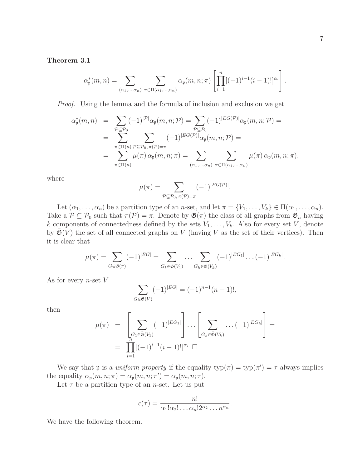Theorem 3.1

$$
\alpha_{\mathfrak{p}}^{*}(m,n) = \sum_{(\alpha_1,\dots,\alpha_n)} \sum_{\pi \in \Pi(\alpha_1,\dots,\alpha_n)} \alpha_{\mathfrak{p}}(m,n;\pi) \left[ \prod_{i=1}^{n} [(-1)^{i-1}(i-1)!]^{\alpha_i} \right]
$$

Proof. Using the lemma and the formula of inclusion and exclusion we get

$$
\alpha_{\mathfrak{p}}^{*}(m,n) = \sum_{\mathcal{P} \subseteq \mathcal{P}_{0}} (-1)^{|\mathcal{P}|} \alpha_{\mathfrak{p}}(m,n;\mathcal{P}) = \sum_{\mathcal{P} \subseteq \mathcal{P}_{0}} (-1)^{|EG(\mathcal{P})|} \alpha_{\mathfrak{p}}(m,n;\mathcal{P}) =
$$
  
\n
$$
= \sum_{\pi \in \Pi(n)} \sum_{\mathcal{P} \subseteq \mathcal{P}_{0}, \pi(\mathcal{P}) = \pi} (-1)^{|EG(\mathcal{P})|} \alpha_{\mathfrak{p}}(m,n;\mathcal{P}) =
$$
  
\n
$$
= \sum_{\pi \in \Pi(n)} \mu(\pi) \alpha_{\mathfrak{p}}(m,n;\pi) = \sum_{(\alpha_{1},\dots,\alpha_{n})} \sum_{\pi \in \Pi(\alpha_{1},\dots,\alpha_{n})} \mu(\pi) \alpha_{\mathfrak{p}}(m,n;\pi),
$$

where

$$
\mu(\pi) = \sum_{\mathcal{P} \subseteq \mathcal{P}_0, \pi(\mathcal{P}) = \pi} (-1)^{|EG(\mathcal{P})|}.
$$

Let  $(\alpha_1, \ldots, \alpha_n)$  be a partition type of an *n*-set, and let  $\pi = \{V_1, \ldots, V_k\} \in \Pi(\alpha_1, \ldots, \alpha_n)$ . Take a  $\mathcal{P} \subseteq \mathcal{P}_0$  such that  $\pi(\mathcal{P}) = \pi$ . Denote by  $\mathfrak{G}(\pi)$  the class of all graphs from  $\mathfrak{G}_n$  having k components of connectedness defined by the sets  $V_1, \ldots, V_k$ . Also for every set V, denote by  $\bar{\mathfrak{G}}(V)$  the set of all connected graphs on V (having V as the set of their vertices). Then it is clear that

$$
\mu(\pi) = \sum_{G \in \mathfrak{G}(\pi)} (-1)^{|EG|} = \sum_{G_1 \in \bar{\mathfrak{G}}(V_1)} \dots \sum_{G_k \in \bar{\mathfrak{G}}(V_k)} (-1)^{|EG_1|} \dots (-1)^{|EG_k|}.
$$

As for every *n*-set  $V$ 

$$
\sum_{G \in \bar{\mathfrak{G}}(V)} (-1)^{|EG|} = (-1)^{n-1} (n-1)!,
$$

then

$$
\mu(\pi) = \left[ \sum_{\substack{G_1 \in \bar{\mathfrak{G}}(V_1) \\ n}} (-1)^{|EG_1|} \right] \cdots \left[ \sum_{\substack{G_k \in \bar{\mathfrak{G}}(V_k) \\ n}} \cdots (-1)^{|EG_k|} \right] = \prod_{i=1}^n [(-1)^{i-1} (i-1)!]^{\alpha_i} . \square
$$

We say that **p** is a *uniform property* if the equality  $\text{typ}(\pi) = \text{typ}(\pi') = \tau$  always implies the equality  $\alpha_{\mathfrak{p}}(m, n; \pi) = \alpha_{\mathfrak{p}}(m, n; \pi') = \alpha_{\mathfrak{p}}(m, n; \tau)$ .

Let  $\tau$  be a partition type of an *n*-set. Let us put

$$
c(\tau) = \frac{n!}{\alpha_1! \alpha_2! \dots \alpha_n! 2^{\alpha_2} \dots n^{\alpha_n}}.
$$

<span id="page-6-0"></span>We have the following theorem.

.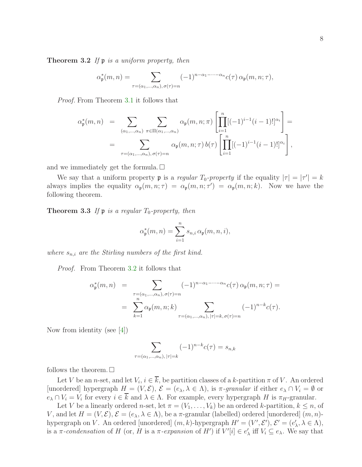**Theorem 3.2** If  $\mathfrak{p}$  is a uniform property, then

$$
\alpha_{\mathfrak{p}}^*(m,n) = \sum_{\tau = (\alpha_1,\dots,\alpha_n), \sigma(\tau) = n} (-1)^{n-\alpha_1-\dots-\alpha_n} c(\tau) \alpha_{\mathfrak{p}}(m,n;\tau),
$$

Proof. From Theorem [3.1](#page-5-0) it follows that

$$
\alpha_{\mathfrak{p}}^{*}(m,n) = \sum_{(\alpha_{1},\ldots,\alpha_{n})} \sum_{\pi \in \Pi(\alpha_{1},\ldots,\alpha_{n})} \alpha_{\mathfrak{p}}(m,n;\pi) \left[ \prod_{i=1}^{n} [(-1)^{i-1}(i-1)!]^{\alpha_{i}} \right] =
$$
  

$$
= \sum_{\tau = (\alpha_{1},\ldots,\alpha_{n}), \sigma(\tau) = n} \alpha_{\mathfrak{p}}(m,n;\tau) b(\tau) \left[ \prod_{i=1}^{n} [(-1)^{i-1}(i-1)!]^{\alpha_{i}} \right],
$$

and we immediately get the formula.  $\square$ 

We say that a uniform property **p** is a regular  $T_0$ -property if the equality  $|\tau| = |\tau'| = k$ always implies the equality  $\alpha_{p}(m, n; \tau) = \alpha_{p}(m, n; \tau') = \alpha_{p}(m, n; k)$ . Now we have the following theorem.

<span id="page-7-0"></span>**Theorem 3.3** If  $\mathfrak{p}$  is a regular  $T_0$ -property, then

$$
\alpha_{\mathfrak{p}}^*(m,n)=\sum_{i=1}^n s_{n,i}\,\alpha_{\mathfrak{p}}(m,n,i),
$$

where  $s_{n,i}$  are the Stirling numbers of the first kind.

Proof. From Theorem [3.2](#page-6-0) it follows that

$$
\alpha_{\mathfrak{p}}^{*}(m,n) = \sum_{\substack{\tau = (\alpha_1,\dots,\alpha_n), \sigma(\tau) = n \\ n}} (-1)^{n-\alpha_1-\dots-\alpha_n} c(\tau) \alpha_{\mathfrak{p}}(m,n;\tau) =
$$

$$
= \sum_{k=1}^{n} \alpha_{\mathfrak{p}}(m,n;k) \sum_{\tau = (\alpha_1,\dots,\alpha_n), |\tau| = k, \sigma(\tau) = n} (-1)^{n-k} c(\tau).
$$

Now from identity (see [\[4\]](#page-23-0))

$$
\sum_{\tau = (\alpha_1, \dots, \alpha_n), |\tau| = k} (-1)^{n-k} c(\tau) = s_{n,k}
$$

follows the theorem.  $\square$ 

Let V be an *n*-set, and let  $V_i$ ,  $i \in k$ , be partition classes of a k-partition  $\pi$  of V. An ordered [unordered] hypergraph  $H = (V, \mathcal{E}), \mathcal{E} = (e_{\lambda}, \lambda \in \Lambda)$ , is  $\pi$ -granular if either  $e_{\lambda} \cap V_i = \emptyset$  or  $e_{\lambda} \cap V_i = V_i$  for every  $i \in k$  and  $\lambda \in \Lambda$ . For example, every hypergraph H is  $\pi_H$ -granular.

Let V be a linearly ordered n-set, let  $\pi = (V_1, \ldots, V_k)$  be an ordered k-partition,  $k \leq n$ , of V, and let  $H = (V, \mathcal{E}), \mathcal{E} = (e_{\lambda}, \lambda \in \Lambda)$ , be a  $\pi$ -granular (labelled) ordered [unordered]  $(m, n)$ hypergraph on V. An ordered [unordered]  $(m, k)$ -hypergraph  $H' = (V', \mathcal{E}'), \mathcal{E}' = (e'_{\lambda}, \lambda \in \Lambda),$ is a  $\pi$ -condensation of H (or, H is a  $\pi$ -expansion of H') if  $V'[i] \in e'_{\lambda}$  iff  $V_i \subseteq e_{\lambda}$ . We say that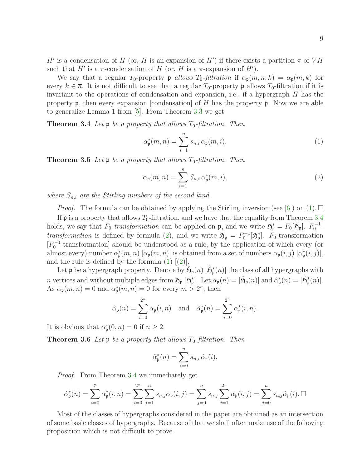H' is a condensation of H (or, H is an expansion of H') if there exists a partition  $\pi$  of VH such that  $H'$  is a  $\pi$ -condensation of H (or, H is a  $\pi$ -expansion of H').

We say that a regular  $T_0$ -property p allows  $T_0$ -filtration if  $\alpha_{p}(m, n; k) = \alpha_{p}(m, k)$  for every  $k \in \overline{n}$ . It is not difficult to see that a regular  $T_0$ -property p allows  $T_0$ -filtration if it is invariant to the operations of condensation and expansion, i.e., if a hypergraph  $H$  has the property  $\mathfrak p$ , then every expansion [condensation] of H has the property  $\mathfrak p$ . Now we are able to generalize Lemma 1 from [\[5\]](#page-23-1). From Theorem [3.3](#page-7-0) we get

<span id="page-8-0"></span>**Theorem 3.4** Let **p** be a property that allows  $T_0$ -filtration. Then

<span id="page-8-2"></span>
$$
\alpha_{\mathfrak{p}}^*(m,n) = \sum_{i=1}^n s_{n,i} \alpha_{\mathfrak{p}}(m,i). \tag{1}
$$

<span id="page-8-1"></span>**Theorem 3.5** Let **p** be a property that allows  $T_0$ -filtration. Then

<span id="page-8-3"></span>
$$
\alpha_{\mathfrak{p}}(m,n) = \sum_{i=1}^{n} S_{n,i} \,\alpha_{\mathfrak{p}}^{*}(m,i), \qquad (2)
$$

where  $S_{n,i}$  are the Stirling numbers of the second kind.

*Proof.* The formula can be obtained by applying the Stirling inversion (see [\[6\]](#page-23-2)) on [\(1\)](#page-8-2).  $\Box$ If  $\mathfrak p$  is a property that allows  $T_0$ -filtration, and we have that the equality from Theorem [3.4](#page-8-0) holds, we say that  $F_0$ -transformation can be applied on  $\mathfrak{p}$ , and we write  $\mathfrak{H}_{\mathfrak{p}}^* = F_0[\mathfrak{H}_{\mathfrak{p}}]$ .  $F_0^{-1}$ -transformation is defined by formula [\(2\)](#page-8-3), and we write  $\mathfrak{H}_{\mathfrak{p}} = F_0^{-1}[\mathfrak{H}_{\mathfrak{p}}^*]$ .  $F_0$ -transformation  $[F_0^{-1}$ -transformation] should be understood as a rule, by the application of which every (or almost every) number  $\alpha^*_{\mathfrak{p}}(m,n)$  [ $\alpha_{\mathfrak{p}}(m,n)$ ] is obtained from a set of numbers  $\alpha_{\mathfrak{p}}(i,j)$  [ $\alpha^*_{\mathfrak{p}}(i,j)$ ], and the rule is defined by the formula  $(1)$   $(2)$ .

Let  $\mathfrak p$  be a hypergraph property. Denote by  $\hat{\mathfrak H}_{\mathfrak p}(n)$   $[\hat{\mathfrak H}_{\mathfrak p}(n)]$  the class of all hypergraphs with n vertices and without multiple edges from  $\mathfrak{H}_{\mathfrak{p}}\left[\mathfrak{H}_{\mathfrak{p}}^*\right]$ . Let  $\hat{\alpha}_{\mathfrak{p}}(n) = |\hat{\mathfrak{H}}_{\mathfrak{p}}(n)|$  and  $\hat{\alpha}_{\mathfrak{p}}^*(n) = |\hat{\mathfrak{H}}_{\mathfrak{p}}^*(n)|$ . As  $\alpha_{\mathfrak{p}}(m, n) = 0$  and  $\alpha_{\mathfrak{p}}^*(m, n) = 0$  for every  $m > 2^n$ , then

$$
\hat{\alpha}_{\mathfrak{p}}(n) = \sum_{i=0}^{2^n} \alpha_{\mathfrak{p}}(i,n) \quad \text{and} \quad \hat{\alpha}_{\mathfrak{p}}^*(n) = \sum_{i=0}^{2^n} \alpha_{\mathfrak{p}}^*(i,n).
$$

It is obvious that  $\alpha^*_{\mathfrak{p}}(0,n) = 0$  if  $n \geq 2$ .

**Theorem 3.6** Let  $\mathfrak{p}$  be a property that allows  $T_0$ -filtration. Then

$$
\hat{\alpha}_{\mathfrak{p}}^*(n) = \sum_{i=0}^n s_{n,i} \, \hat{\alpha}_{\mathfrak{p}}(i).
$$

Proof. From Theorem [3.4](#page-8-0) we immediately get

$$
\hat{\alpha}_{\mathfrak{p}}^*(n) = \sum_{i=0}^{2^n} \alpha_{\mathfrak{p}}^*(i, n) = \sum_{i=0}^{2^n} \sum_{j=1}^n s_{n,j} \alpha_{\mathfrak{p}}(i, j) = \sum_{j=0}^n s_{n,j} \sum_{i=1}^{2^n} \alpha_{\mathfrak{p}}(i, j) = \sum_{j=0}^n s_{n,j} \hat{\alpha}_{\mathfrak{p}}(i) \Box
$$

<span id="page-8-4"></span>Most of the classes of hypergraphs considered in the paper are obtained as an intersection of some basic classes of hypergraphs. Because of that we shall often make use of the following proposition which is not difficult to prove.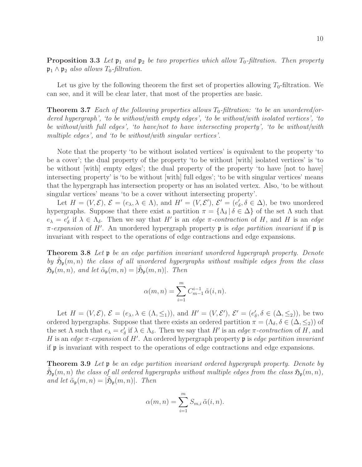**Proposition 3.3** Let  $\mathfrak{p}_1$  and  $\mathfrak{p}_2$  be two properties which allow  $T_0$ -filtration. Then property  $\mathfrak{p}_1 \wedge \mathfrak{p}_2$  also allows  $T_0$ -filtration.

Let us give by the following theorem the first set of properties allowing  $T_0$ -filtration. We can see, and it will be clear later, that most of the properties are basic.

**Theorem 3.7** Each of the following properties allows  $T_0$ -filtration: 'to be an unordered/ordered hypergraph', 'to be without/with empty edges', 'to be without/with isolated vertices', 'to be without/with full edges', 'to have/not to have intersecting property', 'to be without/with multiple edges', and 'to be without/with singular vertices'.

Note that the property 'to be without isolated vertices' is equivalent to the property 'to be a cover'; the dual property of the property 'to be without [with] isolated vertices' is 'to be without [with] empty edges'; the dual property of the property 'to have [not to have] intersecting property' is 'to be without [with] full edges'; 'to be with singular vertices' means that the hypergraph has intersection property or has an isolated vertex. Also, 'to be without singular vertices' means 'to be a cover without intersecting property'.

Let  $H = (V, \mathcal{E}), \, \mathcal{E} = (e_{\lambda}, \lambda \in \Lambda),$  and  $H' = (V, \mathcal{E}'), \, \mathcal{E}' = (e'_{\delta}, \delta \in \Delta),$  be two unordered hypergraphs. Suppose that there exist a partition  $\pi = {\Lambda_{\delta} | \delta \in \Delta}$  of the set  $\Lambda$  such that  $e_{\lambda} = e'_{\delta}$  if  $\lambda \in \Lambda_{\delta}$ . Then we say that H' is an edge  $\pi$ -contraction of H, and H is an edge  $\pi$ -expansion of H'. An unordered hypergraph property  $\mathfrak p$  is edge partition invariant if  $\mathfrak p$  is invariant with respect to the operations of edge contractions and edge expansions.

<span id="page-9-1"></span>**Theorem 3.8** Let  $\mathfrak{p}$  be an edge partition invariant unordered hypergraph property. Denote by  $\tilde{\mathfrak{H}}_{\mathfrak{p}}(m,n)$  the class of all unordered hypergraphs without multiple edges from the class  $\mathfrak{H}_{\mathfrak{p}}(m,n)$ , and let  $\tilde{\alpha}_{\mathfrak{p}}(m,n) = |\tilde{\mathfrak{H}}_{\mathfrak{p}}(m,n)|$ . Then

$$
\alpha(m,n) = \sum_{i=1}^{m} C_{m-1}^{i-1} \tilde{\alpha}(i,n).
$$

Let  $H = (V, \mathcal{E}), \, \mathcal{E} = (e_{\lambda}, \lambda \in (\Lambda, \leq_1)),$  and  $H' = (V, \mathcal{E}'), \, \mathcal{E}' = (e'_{\delta}, \delta \in (\Delta, \leq_2)),$  be two ordered hypergraphs. Suppose that there exists an ordered partition  $\pi = (\Lambda_{\delta}, \delta \in (\Delta, \leq_2))$  of the set  $\Lambda$  such that  $e_{\lambda} = e'_{\delta}$  if  $\lambda \in \Lambda_{\delta}$ . Then we say that H' is an *edge*  $\pi$ -contraction of H, and H is an edge  $\pi$ -expansion of H'. An ordered hypergraph property  $\mathfrak p$  is edge partition invariant if p is invariant with respect to the operations of edge contractions and edge expansions.

<span id="page-9-0"></span>**Theorem 3.9** Let  $\mathfrak{p}$  be an edge partition invariant ordered hypergraph property. Denote by  $\tilde{\mathfrak H}_\mathfrak{p}(m,n)$  the class of all ordered hypergraphs without multiple edges from the class  $\mathfrak H_\mathfrak{p}(m,n)$ , and let  $\tilde{\alpha}_{\mathfrak{p}}(m,n) = |\tilde{\mathfrak{H}}_{\mathfrak{p}}(m,n)|$ . Then

$$
\alpha(m, n) = \sum_{i=1}^{m} S_{m,i} \tilde{\alpha}(i, n).
$$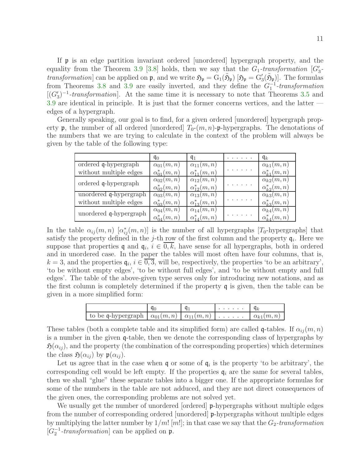If p is an edge partition invariant ordered [unordered] hypergraph property, and the equality from the Theorem [3.9](#page-9-0) [\[3.8\]](#page-9-1) holds, then we say that the  $G_1$ -transformation  $[G'_3]$ *transformation* can be applied on  $\mathfrak{p}$ , and we write  $\mathfrak{H}_{\mathfrak{p}} = G_1(\tilde{\mathfrak{H}}_{\mathfrak{p}})$  [ $\mathfrak{H}_{\mathfrak{p}} = G'_{3}(\tilde{\mathfrak{H}}_{\mathfrak{p}})$ ]. The formulas from Theorems [3.8](#page-9-1) and [3.9](#page-9-0) are easily inverted, and they define the  $G_1^{-1}$ -transformation  $[(G'_{3})^{-1}$ -transformation. At the same time it is necessary to note that Theorems [3.5](#page-8-1) and [3.9](#page-9-0) are identical in principle. It is just that the former concerns vertices, and the latter edges of a hypergraph.

Generally speaking, our goal is to find, for a given ordered [unordered] hypergraph property  $\mathfrak p$ , the number of all ordered [unordered]  $T_0-(m,n)$ - $\mathfrak p$ -hypergraphs. The denotations of the numbers that we are trying to calculate in the context of the problem will always be given by the table of the following type:

|                        | $q_0$                | $q_{1}$               | . | $\mathfrak{q}_k$     |
|------------------------|----------------------|-----------------------|---|----------------------|
| ordered q-hypergraph   | $\alpha_{01}(m,n)$   | $\alpha_{11}(m,n)$    |   | $\alpha_{k1}(m,n)$   |
| without multiple edges | $\alpha_{01}^*(m,n)$ | $\alpha_{11}^*(m, n)$ |   | $\alpha_{k1}^*(m,n)$ |
| ordered q-hypergraph   | $\alpha_{02}(m,n)$   | $\alpha_{12}(m,n)$    |   | $\alpha_{k2}(m,n)$   |
|                        | $\alpha_{02}^*(m,n)$ | $\alpha_{12}^*(m,n)$  |   | $\alpha_{k2}^*(m,n)$ |
| unordered q-hypergraph | $\alpha_{03}(m,n)$   | $\alpha_{13}(m,n)$    |   | $\alpha_{k3}(m,n)$   |
| without multiple edges | $\alpha_{03}^*(m,n)$ | $\alpha_{13}^*(m, n)$ |   | $\alpha_{k3}^*(m,n)$ |
| unordered q-hypergraph | $\alpha_{04}(m,n)$   | $\alpha_{14}(m,n)$    |   | $\alpha_{k4}(m,n)$   |
|                        | $\alpha_{04}^*(m,n)$ | $\alpha_{14}^*(m,n)$  |   | $\alpha_{k4}^*(m,n)$ |

In the table  $\alpha_{ij}(m,n)$   $[\alpha_{ij}^*(m,n)]$  is the number of all hypergraphs [T<sub>0</sub>-hypergraphs] that satisfy the property defined in the j-th row of the first column and the property  $q_i$ . Here we suppose that properties q and  $q_i$ ,  $i \in 0, k$ , have sense for all hypergraphs, both in ordered and in unordered case. In the paper the tables will most often have four columns, that is,  $k = 3$ , and the properties  $\mathfrak{q}_i, i \in 0, 3$ , will be, respectively, the properties 'to be an arbitrary', 'to be without empty edges', 'to be without full edges', and 'to be without empty and full edges'. The table of the above-given type serves only for introducing new notations, and as the first column is completely determined if the property q is given, then the table can be given in a more simplified form:

|                                                                                            |  | the contract of the contract of |                    |
|--------------------------------------------------------------------------------------------|--|---------------------------------|--------------------|
| $\mid$ to be q-hypergraph $\mid \alpha_{01}(m,n) \mid \alpha_{11}(m,n) \mid \ldots \ldots$ |  |                                 | $\alpha_{k1}(m,n)$ |

These tables (both a complete table and its simplified form) are called q-tables. If  $\alpha_{ij}(m, n)$ is a number in the given q-table, then we denote the corresponding class of hypergraphs by  $\mathfrak{H}(\alpha_{ij})$ , and the property (the combination of the corresponding properties) which determines the class  $\mathfrak{H}(\alpha_{ij})$  by  $\mathfrak{p}(\alpha_{ij})$ .

Let us agree that in the case when  $\mathfrak q$  or some of  $\mathfrak q_i$  is the property 'to be arbitrary', the corresponding cell would be left empty. If the properties  $q_i$  are the same for several tables, then we shall "glue" these separate tables into a bigger one. If the appropriate formulas for some of the numbers in the table are not adduced, and they are not direct consequences of the given ones, the corresponding problems are not solved yet.

We usually get the number of unordered [ordered] **p**-hypergraphs without multiple edges from the number of corresponding ordered [unordered] p-hypergraphs without multiple edges by multiplying the latter number by  $1/m!$  [m!]; in that case we say that the  $G_2$ -transformation  $[G_2^{-1}$ -transformation] can be applied on  $\mathfrak{p}$ .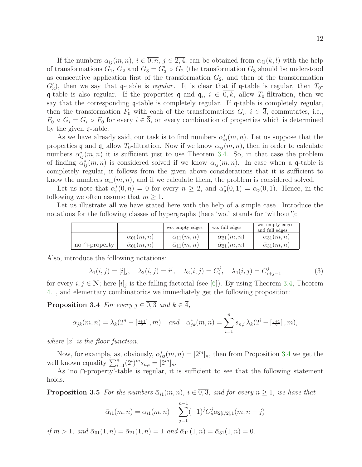If the numbers  $\alpha_{ij}(m, n)$ ,  $i \in \overline{0, n}$ ,  $j \in \overline{2, 4}$ , can be obtained from  $\alpha_{i}(k, l)$  with the help of transformations  $G_1, G_2$  and  $G_3 = G'_3 \circ G_2$  (the transformation  $G_3$  should be understood as consecutive application first of the transformation  $G_2$ , and then of the transformation  $G'_3$ ), then we say that q-table is regular. It is clear that if q-table is regular, then  $T_0$ q-table is also regular. If the properties q and  $q_i$ ,  $i \in 0, k$ , allow  $T_0$ -filtration, then we say that the corresponding q-table is completely regular. If q-table is completely regular, then the transformation  $F_0$  with each of the transformations  $G_i$ ,  $i \in \overline{3}$ , commutates, i.e.,  $F_0 \circ G_i = G_i \circ F_0$  for every  $i \in \overline{3}$ , on every combination of properties which is determined by the given q-table.

As we have already said, our task is to find numbers  $\alpha_{ij}^*(m, n)$ . Let us suppose that the properties q and  $\mathfrak{q}_i$  allow  $T_0$ -filtration. Now if we know  $\alpha_{ij}(m, n)$ , then in order to calculate numbers  $\alpha_{ij}^*(m,n)$  it is sufficient just to use Theorem [3.4.](#page-8-0) So, in that case the problem of finding  $\alpha_{ij}^*(m, n)$  is considered solved if we know  $\alpha_{ij}(m, n)$ . In case when a q-table is completely regular, it follows from the given above considerations that it is sufficient to know the numbers  $\alpha_{i1}(m, n)$ , and if we calculate them, the problem is considered solved.

Let us note that  $\alpha^*_{\mathfrak{p}}(0,n) = 0$  for every  $n \geq 2$ , and  $\alpha^*_{\mathfrak{p}}(0,1) = \alpha_{\mathfrak{p}}(0,1)$ . Hence, in the following we often assume that  $m \geq 1$ .

Let us illustrate all we have stated here with the help of a simple case. Introduce the notations for the following classes of hypergraphs (here 'wo.' stands for 'without'):

|                     |                          | wo. empty edges          | wo. full edges           | wo. empty edges<br>and full edges |
|---------------------|--------------------------|--------------------------|--------------------------|-----------------------------------|
|                     | $\alpha_{01}(m,n)$       | $\alpha_{11}(m,n)$       | $\alpha_{21}(m,n)$       | $\alpha_{31}(m,n)$                |
| no $\cap$ -property | $\bar{\alpha}_{01}(m,n)$ | $\bar{\alpha}_{11}(m,n)$ | $\bar{\alpha}_{21}(m,n)$ | $\bar{\alpha}_{31}(m,n)$          |

Also, introduce the following notations:

$$
\lambda_1(i,j) = [i]_j, \quad \lambda_2(i,j) = i^j, \quad \lambda_3(i,j) = C_i^j, \quad \lambda_4(i,j) = C_{i+j-1}^j
$$
(3)

<span id="page-11-0"></span>for every  $i, j \in \mathbb{N}$ ; here  $[i]_j$  is the falling factorial (see [\[6\]](#page-23-2)). By using Theorem [3.4,](#page-8-0) Theorem [4.1,](#page-12-0) and elementary combinatorics we immediately get the following proposition:

**Proposition 3.4** For every  $j \in \overline{0,3}$  and  $k \in \overline{4}$ ,

$$
\alpha_{jk}(m,n) = \lambda_k(2^n - \left[\frac{j+1}{2}\right], m) \quad \text{and} \quad \alpha_{jk}^*(m,n) = \sum_{i=1}^n s_{n,i} \lambda_k(2^i - \left[\frac{j+1}{2}\right], m),
$$

where  $[x]$  is the floor function.

Now, for example, as, obviously,  $\alpha_{02}^*(m, n) = [2^m]_n$ , then from Proposition [3.4](#page-11-0) we get the well known equality  $\sum_{i=1}^{n} (2^i)^m s_{n,i} = [2^m]_n$ .

As 'no ∩-property'-table is regular, it is sufficient to see that the following statement holds.

**Proposition 3.5** For the numbers  $\bar{\alpha}_{i1}(m, n)$ ,  $i \in \overline{0, 3}$ , and for every  $n \geq 1$ , we have that

$$
\bar{\alpha}_{i1}(m,n) = \alpha_{i1}(m,n) + \sum_{j=1}^{n-1} (-1)^j C_n^j \alpha_{2[i/2],1}(m,n-j)
$$

if  $m > 1$ , and  $\bar{\alpha}_{01}(1, n) = \bar{\alpha}_{21}(1, n) = 1$  and  $\bar{\alpha}_{11}(1, n) = \bar{\alpha}_{31}(1, n) = 0$ .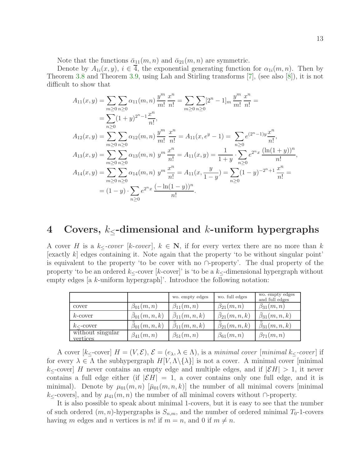Note that the functions  $\bar{\alpha}_{11}(m, n)$  and  $\bar{\alpha}_{21}(m, n)$  are symmetric.

Denote by  $A_{1i}(x, y)$ ,  $i \in 4$ , the exponential generating function for  $\alpha_{1i}(m, n)$ . Then by Theorem [3.8](#page-9-1) and Theorem [3.9,](#page-9-0) using Lah and Stirling transforms [\[7\]](#page-23-3), (see also [\[8\]](#page-23-4)), it is not difficult to show that

$$
A_{11}(x,y) = \sum_{m\geq 0} \sum_{n\geq 0} \alpha_{11}(m,n) \frac{y^m}{m!} \frac{x^n}{n!} = \sum_{m\geq 0} \sum_{n\geq 0} [2^n - 1]_m \frac{y^m}{m!} \frac{x^n}{n!} =
$$
  
\n
$$
= \sum_{n\geq 0} (1+y)^{2^n - 1} \frac{x^n}{n!},
$$
  
\n
$$
A_{12}(x,y) = \sum_{m\geq 0} \sum_{n\geq 0} \alpha_{12}(m,n) \frac{y^m}{m!} \frac{x^n}{n!} = A_{11}(x,e^y - 1) = \sum_{n\geq 0} e^{(2^n - 1)y} \frac{x^n}{n!},
$$
  
\n
$$
A_{13}(x,y) = \sum_{m\geq 0} \sum_{n\geq 0} \alpha_{13}(m,n) y^m \frac{x^n}{n!} = A_{11}(x,y) = \frac{1}{1+y} \cdot \sum_{n\geq 0} e^{2^n x} \frac{(\ln(1+y))^n}{n!},
$$
  
\n
$$
A_{14}(x,y) = \sum_{m\geq 0} \sum_{n\geq 0} \alpha_{14}(m,n) y^m \frac{x^n}{n!} = A_{11}(x, \frac{y}{1-y}) = \sum_{n\geq 0} (1-y)^{-2^n+1} \frac{x^n}{n!} =
$$
  
\n
$$
= (1-y) \cdot \sum_{n\geq 0} e^{2^n x} \frac{(-\ln(1-y))^n}{n!}.
$$

# 4 Covers,  $k_{\leq}$ -dimensional and k-uniform hypergraphs

A cover H is a k<sub> $lt$ </sub>-cover [k-cover],  $k \in \mathbb{N}$ , if for every vertex there are no more than k [exactly  $k$ ] edges containing it. Note again that the property 'to be without singular point' is equivalent to the property 'to be cover with no ∩-property'. The dual property of the property 'to be an ordered  $k_{\leq}$ -cover [k-cover]' is 'to be a  $k_{\leq}$ -dimensional hypergraph without empty edges [a k-uniform hypergraph]'. Introduce the following notation:

|                              |                         | wo. empty edges                 | wo. full edges                  | wo. empty edges<br>and full edges |
|------------------------------|-------------------------|---------------------------------|---------------------------------|-----------------------------------|
| cover                        | $\beta_{01}(m,n)$       | $\beta_{11}(m,n)$               | $\beta_{21}(m,n)$               | $\beta_{31}(m,n)$                 |
| $k$ -cover                   | $\beta_{01}(m,n,k)$     | $\beta_{11}(m,n,k)$             | $\beta_{21}(m,n,k)$             | $\beta_{31}(m,n,k)$               |
| $k_{\leq}$ -cover            | $\bar\beta_{01}(m,n,k)$ | $\bar{\bar{\beta}}_{11}(m,n,k)$ | $\bar{\bar{\beta}}_{21}(m,n,k)$ | $\bar{\beta}_{31}(m,n,k)$         |
| without singular<br>vertices | $\beta_{41}(m,n)$       | $\beta_{51}(m,n)$               | $\beta_{61}(m,n)$               | $\beta_{71}(m,n)$                 |

A cover  $[k_\leq$ -cover]  $H = (V, \mathcal{E}), \mathcal{E} = (e_\lambda, \lambda \in \Lambda)$ , is a minimal cover [minimal k<sub> $\leq$ </sub>-cover] if for every  $\lambda \in \Lambda$  the subhypergraph  $H[V, \Lambda \setminus {\lambda}]$  is not a cover. A minimal cover [minimal  $k_{\leq}$ -cover] H never contains an empty edge and multiple edges, and if  $|\mathcal{E}H| > 1$ , it never contains a full edge either (if  $|\mathcal{E}H| = 1$ , a cover contains only one full edge, and it is minimal). Denote by  $\mu_{01}(m,n)$   $[\bar{\mu}_{01}(m,n,k)]$  the number of all minimal covers [minimal  $k_{\leq}$ -covers], and by  $\mu_{41}(m, n)$  the number of all minimal covers without ∩-property.

<span id="page-12-0"></span>It is also possible to speak about minimal 1-covers, but it is easy to see that the number of such ordered  $(m, n)$ -hypergraphs is  $S_{n,m}$ , and the number of ordered minimal  $T_0$ -1-covers having m edges and n vertices is m! if  $m = n$ , and 0 if  $m \neq n$ .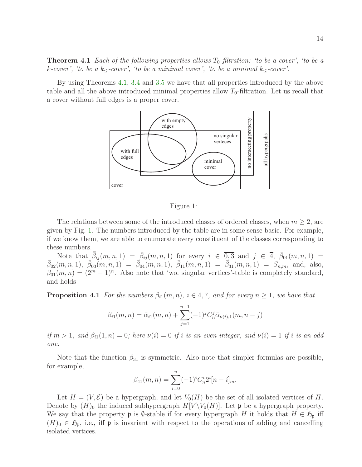**Theorem 4.1** Each of the following properties allows  $T_0$ -filtration: 'to be a cover', 'to be a k-cover', 'to be a k<sub>≤</sub>-cover', 'to be a minimal cover', 'to be a minimal k<sub>≤</sub>-cover'.

By using Theorems [4.1,](#page-12-0) [3.4](#page-8-0) and [3.5](#page-8-1) we have that all properties introduced by the above table and all the above introduced minimal properties allow  $T_0$ -filtration. Let us recall that a cover without full edges is a proper cover.



<span id="page-13-1"></span>Figure 1:

The relations between some of the introduced classes of ordered classes, when  $m \geq 2$ , are given by Fig. [1.](#page-13-1) The numbers introduced by the table are in some sense basic. For example, if we know them, we are able to enumerate every constituent of the classes corresponding to these numbers.

Note that  $\bar{\bar{\beta}}_{ij}(m,n,1) = \bar{\beta}_{ij}(m,n,1)$  for every  $i \in \overline{0,3}$  and  $j \in \overline{4}$ ,  $\bar{\beta}_{01}(m,n,1) =$  $\bar{\beta}_{02}(m,n,1), \ \bar{\beta}_{03}(m,n,1) = \bar{\beta}_{04}(m,n,1), \ \bar{\beta}_{11}(m,n,1) = \bar{\beta}_{31}(m,n,1) = S_{n,m}, \text{ and, also,}$  $\beta_{01}(m,n) = (2^m - 1)^n$ . Also note that 'wo. singular vertices'-table is completely standard, and holds

**Proposition 4.1** For the numbers  $\beta_{i1}(m, n)$ ,  $i \in \overline{4, 7}$ , and for every  $n \geq 1$ , we have that

$$
\beta_{i1}(m,n) = \bar{\alpha}_{i1}(m,n) + \sum_{j=1}^{n-1} (-1)^j C_n^j \bar{\alpha}_{\nu(i),1}(m,n-j)
$$

if  $m > 1$ , and  $\beta_{i1}(1, n) = 0$ ; here  $\nu(i) = 0$  if i is an even integer, and  $\nu(i) = 1$  if i is an odd one.

Note that the function  $\beta_{31}$  is symmetric. Also note that simpler formulas are possible, for example,

$$
\beta_{41}(m,n) = \sum_{i=0}^{n} (-1)^{i} C_{n}^{i} 2^{i} [n-i]_{m}.
$$

<span id="page-13-0"></span>Let  $H = (V, \mathcal{E})$  be a hypergraph, and let  $V_0(H)$  be the set of all isolated vertices of H. Denote by  $(H)_0$  the induced subhypergraph  $H[V \setminus V_0(H)]$ . Let p be a hypergraph property. We say that the property **p** is  $\emptyset$ -stable if for every hypergraph H it holds that  $H \in \mathfrak{H}_{\mathfrak{p}}$  iff  $(H)$ <sub>0</sub>  $\in \mathfrak{H}_{\mathfrak{p}}$ , i.e., iff  $\mathfrak{p}$  is invariant with respect to the operations of adding and cancelling isolated vertices.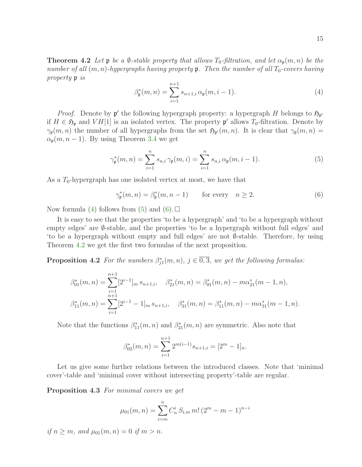<span id="page-14-0"></span>**Theorem 4.2** Let  $\mathfrak p$  be a  $\emptyset$ -stable property that allows  $T_0$ -filtration, and let  $\alpha_{\mathfrak p}(m,n)$  be the number of all  $(m, n)$ -hypergraphs having property  $\mathfrak p$ . Then the number of all  $T_0$ -covers having property p is

<span id="page-14-1"></span>
$$
\beta_{\mathfrak{p}}^*(m,n) = \sum_{i=1}^{n+1} s_{n+1,i} \alpha_{\mathfrak{p}}(m,i-1).
$$
 (4)

*Proof.* Denote by  $\mathfrak{p}'$  the following hypergraph property: a hypergraph H belongs to  $\mathfrak{H}_{\mathfrak{p}'}$ if  $H \in \mathfrak{H}_{\mathfrak{p}}$  and  $VH[1]$  is an isolated vertex. The property  $\mathfrak{p}'$  allows  $T_0$ -filtration. Denote by  $\gamma_{\mathfrak{p}}(m,n)$  the number of all hypergraphs from the set  $\mathfrak{H}_{\mathfrak{p}'}(m,n)$ . It is clear that  $\gamma_{\mathfrak{p}}(m,n)$  $\alpha_{p}(m, n-1)$ . By using Theorem [3.4](#page-8-0) we get

$$
\gamma_{\mathfrak{p}}^*(m, n) = \sum_{i=1}^n s_{n,i} \, \gamma_{\mathfrak{p}}(m, i) = \sum_{i=1}^n s_{n,i} \, \alpha_{\mathfrak{p}}(m, i-1). \tag{5}
$$

As a  $T_0$ -hypergraph has one isolated vertex at most, we have that

<span id="page-14-2"></span>
$$
\gamma_{\mathfrak{p}}^*(m, n) = \beta_{\mathfrak{p}}^*(m, n-1) \qquad \text{for every} \quad n \ge 2. \tag{6}
$$

Now formula [\(4\)](#page-14-0) follows from [\(5\)](#page-14-1) and [\(6\)](#page-14-2).  $\square$ 

It is easy to see that the properties 'to be a hypergraph' and 'to be a hypergraph without empty edges' are  $\emptyset$ -stable, and the properties 'to be a hypergraph without full edges' and 'to be a hypergraph without empty and full edges' are not ∅-stable. Therefore, by using Theorem [4.2](#page-13-0) we get the first two formulas of the next proposition.

**Proposition 4.2** For the numbers  $\beta_{j1}^*(m,n)$ ,  $j \in \overline{0,3}$ , we get the following formulas:

$$
\beta_{01}^*(m,n) = \sum_{i=1}^{n+1} [2^{i-1}]_m s_{n+1,i}, \quad \beta_{21}^*(m,n) = \beta_{01}^*(m,n) - m\alpha_{21}^*(m-1,n),
$$
  

$$
\beta_{11}^*(m,n) = \sum_{i=1}^{n+1} [2^{i-1} - 1]_m s_{n+1,i}, \quad \beta_{31}^*(m,n) = \beta_{11}^*(m,n) - m\alpha_{31}^*(m-1,n).
$$

Note that the functions  $\beta_{11}^*(m, n)$  and  $\beta_{21}^*(m, n)$  are symmetric. Also note that

$$
\beta_{02}^*(m, n) = \sum_{i=1}^{n+1} 2^{m(i-1)} s_{n+1,i} = [2^m - 1]_n.
$$

Let us give some further relations between the introduced classes. Note that 'minimal cover'-table and 'minimal cover without intersecting property'-table are regular.

Proposition 4.3 For minimal covers we get

$$
\mu_{01}(m,n) = \sum_{i=m}^{n} C_n^i S_{i,m} m! (2^m - m - 1)^{n-i}
$$

if  $n > m$ , and  $\mu_{01}(m, n) = 0$  if  $m > n$ .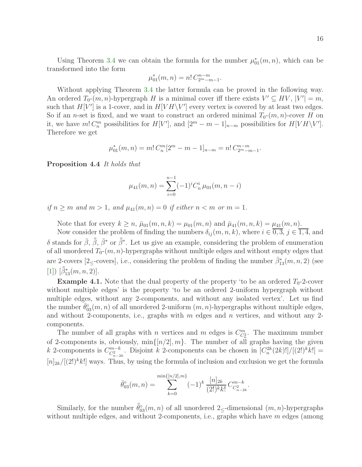Using Theorem [3.4](#page-8-0) we can obtain the formula for the number  $\mu_{01}^*(m, n)$ , which can be transformed into the form

$$
\mu_{01}^*(m, n) = n! C_{2^m - m - 1}^{n - m}.
$$

Without applying Theorem [3.4](#page-8-0) the latter formula can be proved in the following way. An ordered  $T_0$ - $(m, n)$ -hypergraph H is a minimal cover iff there exists  $V' \subseteq HV$ ,  $|V'| = m$ , such that  $H[V']$  is a 1-cover, and in  $H[VH\setminus V']$  every vertex is covered by at least two edges. So if an *n*-set is fixed, and we want to construct an ordered minimal  $T_0$ - $(m, n)$ -cover H on it, we have  $m! C_n^m$  possibilities for  $H[V']$ , and  $[2^m - m - 1]_{n-m}$  possibilities for  $H[VH \backslash V']$ . Therefore we get

$$
\mu_{01}^*(m,n) = m! C_n^m [2^m - m - 1]_{n-m} = n! C_{2^m - m - 1}^{n-m}.
$$

Proposition 4.4 It holds that

$$
\mu_{41}(m,n) = \sum_{i=0}^{n-1} (-1)^i C_n^i \mu_{01}(m,n-i)
$$

if  $n \geq m$  and  $m > 1$ , and  $\mu_{41}(m, n) = 0$  if either  $n < m$  or  $m = 1$ .

Note that for every  $k \geq n$ ,  $\bar{\mu}_{01}(m, n, k) = \mu_{01}(m, n)$  and  $\bar{\mu}_{41}(m, n, k) = \mu_{41}(m, n)$ .

Now consider the problem of finding the numbers  $\delta_{ij}(m, n, k)$ , where  $i \in \overline{0, 3}$ ,  $j \in \overline{1, 4}$ , and δ stands for  $\bar{\beta}$ ,  $\bar{\bar{\beta}}$ <sup>\*</sup>, or  $\bar{\bar{\beta}}$ <sup>\*</sup>. Let us give an example, considering the problem of enumeration of all unordered  $T_0$ - $(m, n)$ -hypergraphs without multiple edges and without empty edges that are 2-covers [2≤-covers], i.e., considering the problem of finding the number  $\bar{\beta}_{13}^*(m, n, 2)$  (see [\[1\]](#page-22-0))  $[\bar{\bar{\beta}}^*_{13}(m,n,2)].$ 

**Example 4.1.** Note that the dual property of the property 'to be an ordered  $T_0$ -2-cover without multiple edges' is the property 'to be an ordered 2-uniform hypergraph without multiple edges, without any 2-components, and without any isolated vertex'. Let us find the number  $\bar{\theta}_{03}^{\circ}(m,n)$  of all unordered 2-uniform  $(m,n)$ -hypergraphs without multiple edges, and without 2-components, i.e., graphs with  $m$  edges and  $n$  vertices, and without any 2components.

The number of all graphs with *n* vertices and *m* edges is  $C_{C_n^2}^m$ . The maximum number of 2-components is, obviously,  $\min\{[n/2], m\}$ . The number of all graphs having the given k 2-components is  $C_{C_{n-2k}}^{m-k}$ . Disjoint k 2-components can be chosen in  $[C_n^{2k}(2k)!]/[(2!)^k k!] =$  $[n]_{2k}/[(2!)^k k!]$  ways. Thus, by using the formula of inclusion and exclusion we get the formula

$$
\bar{\theta}_{03}^{\circ}(m,n) = \sum_{k=0}^{\min\{[n/2],m\}} (-1)^k \frac{[n]_{2k}}{(2!)^k k!} C_{C_{n-2k}^2}^{m-k}.
$$

Similarly, for the number  $\bar{\bar{\theta}}_{03}^{\circ}(m,n)$  of all unordered 2<sub>≤</sub>-dimensional  $(m,n)$ -hypergraphs without multiple edges, and without 2-components, i.e., graphs which have  $m$  edges (among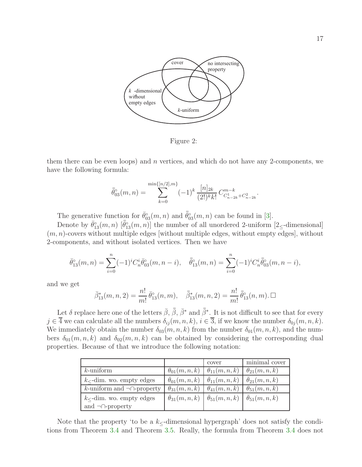

Figure 2:

them there can be even loops) and  $n$  vertices, and which do not have any 2-components, we have the following formula:

$$
\bar{\theta}_{03}^{\circ}(m,n) = \sum_{k=0}^{\min\{[n/2],m\}} (-1)^k \frac{[n]_{2k}}{(2!)^k k!} C_{C_{n-2k}^1 + C_{n-2k}^2}^{m-k}
$$

.

The generative function for  $\bar{\theta}_{03}^{\circ}(m,n)$  and  $\bar{\bar{\theta}}_{03}^{\circ}(m,n)$  can be found in [\[3\]](#page-22-2).

Denote by  $\bar{\theta}_{13}^{\circ}(m,n)$   $[\bar{\theta}_{13}^{\circ}(m,n)]$  the number of all unordered 2-uniform  $[2]$  -dimensional  $(m, n)$ -covers without multiple edges [without multiple edges, without empty edges], without 2-components, and without isolated vertices. Then we have

$$
\bar{\theta}_{13}^{\circ}(m,n) = \sum_{i=0}^{n} (-1)^{i} C_{n}^{i} \bar{\theta}_{03}^{\circ}(m,n-i), \quad \bar{\bar{\theta}}_{13}^{\circ}(m,n) = \sum_{i=0}^{n} (-1)^{i} C_{n}^{i} \bar{\bar{\theta}}_{03}^{\circ}(m,n-i),
$$

and we get

$$
\bar{\beta}_{13}^*(m, n, 2) = \frac{n!}{m!} \bar{\theta}_{13}^{\circ}(n, m), \quad \bar{\bar{\beta}}_{13}^*(m, n, 2) = \frac{n!}{m!} \bar{\bar{\theta}}_{13}^{\circ}(n, m). \Box
$$

Let  $\delta$  replace here one of the letters  $\bar{\beta}$ ,  $\bar{\beta}$ ,  $\bar{\beta}^*$  and  $\bar{\bar{\beta}}^*$ . It is not difficult to see that for every  $j \in \overline{4}$  we can calculate all the numbers  $\delta_{ij}(m, n, k)$ ,  $i \in \overline{3}$ , if we know the number  $\delta_{0j}(m, n, k)$ . We immediately obtain the number  $\delta_{03}(m, n, k)$  from the number  $\delta_{01}(m, n, k)$ , and the numbers  $\delta_{01}(m, n, k)$  and  $\delta_{02}(m, n, k)$  can be obtained by considering the corresponding dual properties. Because of that we introduce the following notation:

|                                     |                            | cover                                                | minimal cover        |
|-------------------------------------|----------------------------|------------------------------------------------------|----------------------|
| $k$ -uniform                        | $\theta_{01}(m,n,k)$       | $\theta_{11}(m,n,k)$                                 | $\theta_{21}(m,n,k)$ |
| $k$ – dim. wo. empty edges          | $\theta_{01}(m,n,k)$       | $\theta_{11}(m,n,k)$                                 | $\theta_{21}(m,n,k)$ |
| k-uniform and $\neg \cap$ -property | $\theta_{31}(m,n,k)$       | $\theta_{41}(m,n,k)$                                 | $\theta_{51}(m,n,k)$ |
| $k_{\leq}$ -dim. wo. empty edges    | $\bar{\theta}_{31}(m,n,k)$ | $\theta_{51}(m,n,k)$ $\overline{\theta}_{51}(m,n,k)$ |                      |
| and $\neg$ -property                |                            |                                                      |                      |

Note that the property 'to be a  $k_{\leq}$ -dimensional hypergraph' does not satisfy the conditions from Theorem [3.4](#page-8-0) and Theorem [3.5.](#page-8-1) Really, the formula from Theorem [3.4](#page-8-0) does not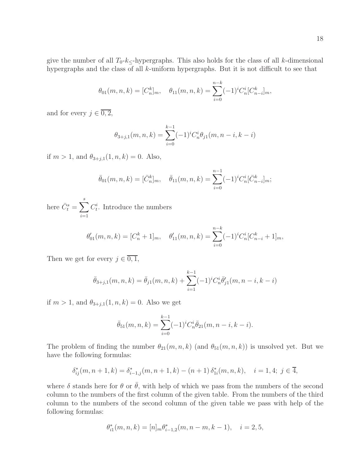give the number of all  $T_0-k_{\leq}$ -hypergraphs. This also holds for the class of all k-dimensional hypergraphs and the class of all k-uniform hypergraphs. But it is not difficult to see that

$$
\theta_{01}(m, n, k) = [C_n^k]_m, \quad \theta_{11}(m, n, k) = \sum_{i=0}^{n-k} (-1)^i C_n^i [C_{n-i}^k]_m,
$$

and for every  $j \in \overline{0,2}$ ,

$$
\theta_{3+j,1}(m,n,k) = \sum_{i=0}^{k-1} (-1)^i C_n^i \theta_{j1}(m,n-i,k-i)
$$

if  $m > 1$ , and  $\theta_{3+j,1}(1, n, k) = 0$ . Also,

$$
\bar{\theta}_{01}(m,n,k) = [\bar{C}_n^k]_m, \quad \bar{\theta}_{11}(m,n,k) = \sum_{i=0}^{n-1} (-1)^i C_n^i [\bar{C}_{n-i}^k]_m;
$$

here  $\bar{C}^s_t = \sum^s$  $i=1$  $C_t^i$ . Introduce the numbers

$$
\theta'_{01}(m,n,k) = [C_n^k + 1]_m, \quad \theta'_{11}(m,n,k) = \sum_{i=0}^{n-k} (-1)^i C_n^i [C_{n-i}^k + 1]_m,
$$

Then we get for every  $j \in \overline{0,1}$ ,

$$
\bar{\theta}_{3+j,1}(m,n,k) = \bar{\theta}_{j1}(m,n,k) + \sum_{i=1}^{k-1} (-1)^i C_n^i \bar{\theta}'_{j1}(m,n-i,k-i)
$$

if  $m > 1$ , and  $\theta_{3+j,1}(1, n, k) = 0$ . Also we get

$$
\bar{\theta}_{51}(m,n,k) = \sum_{i=0}^{k-1} (-1)^i C_n^i \bar{\theta}_{21}(m,n-i,k-i).
$$

The problem of finding the number  $\theta_{21}(m,n,k)$  (and  $\theta_{51}(m,n,k)$ ) is unsolved yet. But we have the following formulas:

$$
\delta_{ij}^*(m, n+1, k) = \delta_{i-1,j}^*(m, n+1, k) - (n+1) \delta_{1i}^*(m, n, k), \quad i = 1, 4; j \in \overline{4},
$$

where  $\delta$  stands here for  $\theta$  or  $\bar{\theta}$ , with help of which we pass from the numbers of the second column to the numbers of the first column of the given table. From the numbers of the third column to the numbers of the second column of the given table we pass with help of the following formulas:

$$
\theta_{i1}^*(m, n, k) = [n]_m \theta_{i-1,2}^*(m, n-m, k-1), \quad i = 2, 5,
$$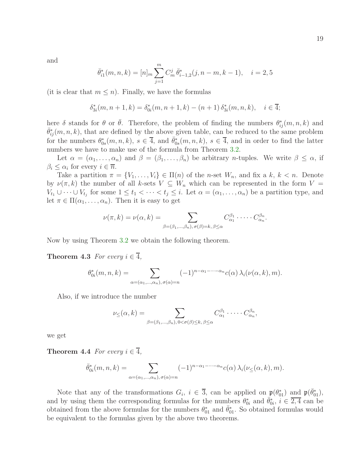and

$$
\bar{\theta}_{i1}^*(m, n, k) = [n]_m \sum_{j=1}^m C_m^j \bar{\theta}_{i-1,2}^*(j, n-m, k-1), \quad i = 2, 5
$$

(it is clear that  $m \leq n$ ). Finally, we have the formulas

$$
\delta_{3i}^*(m, n+1, k) = \delta_{0i}^*(m, n+1, k) - (n+1) \delta_{3i}^*(m, n, k), \quad i \in \overline{4};
$$

here  $\delta$  stands for  $\theta$  or  $\bar{\theta}$ . Therefore, the problem of finding the numbers  $\theta_{ij}^*(m, n, k)$  and  $\bar{\theta}_{ij}^*(m,n,k)$ , that are defined by the above given table, can be reduced to the same problem for the numbers  $\theta_{0s}^*(m,n,k)$ ,  $s \in \overline{4}$ , and  $\bar{\theta}_{0s}^*(m,n,k)$ ,  $s \in \overline{4}$ , and in order to find the latter numbers we have to make use of the formula from Theorem [3.2.](#page-6-0)

Let  $\alpha = (\alpha_1, \ldots, \alpha_n)$  and  $\beta = (\beta_1, \ldots, \beta_n)$  be arbitrary *n*-tuples. We write  $\beta \leq \alpha$ , if  $\beta_i \leq \alpha_i$  for every  $i \in \overline{n}$ .

Take a partition  $\pi = \{V_1, \ldots, V_i\} \in \Pi(n)$  of the *n*-set  $W_n$ , and fix a k,  $k < n$ . Denote by  $\nu(\pi, k)$  the number of all k-sets  $V \subseteq W_n$  which can be represented in the form  $V =$  $V_{t_1} \cup \cdots \cup V_{t_j}$  for some  $1 \leq t_1 < \cdots < t_j \leq i$ . Let  $\alpha = (\alpha_1, \ldots, \alpha_n)$  be a partition type, and let  $\pi \in \Pi(\alpha_1, \ldots, \alpha_n)$ . Then it is easy to get

$$
\nu(\pi, k) = \nu(\alpha, k) = \sum_{\beta = (\beta_1, \dots, \beta_n), \sigma(\beta) = k, \beta \leq \alpha} C_{\alpha_1}^{\beta_1} \cdot \dots \cdot C_{\alpha_n}^{\beta_n}.
$$

Now by using Theorem [3.2](#page-6-0) we obtain the following theorem.

**Theorem 4.3** For every  $i \in \overline{4}$ ,

$$
\theta_{0i}^*(m,n,k) = \sum_{\alpha = (\alpha_1,\dots,\alpha_n), \sigma(\alpha)=n} (-1)^{n-\alpha_1-\dots-\alpha_n} c(\alpha) \lambda_i(\nu(\alpha,k),m).
$$

Also, if we introduce the number

$$
\nu_{\leq}(\alpha, k) = \sum_{\beta = (\beta_1, \dots, \beta_n), 0 < \sigma(\beta) \leq k, \, \beta \leq \alpha} C_{\alpha_1}^{\beta_1} \cdot \dots \cdot C_{\alpha_n}^{\beta_n},
$$

we get

**Theorem 4.4** For every  $i \in \overline{4}$ ,

$$
\bar{\theta}_{0i}^*(m,n,k) = \sum_{\alpha = (\alpha_1,\dots,\alpha_n), \sigma(\alpha)=n} (-1)^{n-\alpha_1-\dots-\alpha_n} c(\alpha) \lambda_i(\nu_{\leq}(\alpha,k),m).
$$

Note that any of the transformations  $G_i$ ,  $i \in \overline{3}$ , can be applied on  $\mathfrak{p}(\theta_{01}^*)$  and  $\mathfrak{p}(\bar{\theta}_{01}^*)$ , and by using them the corresponding formulas for the numbers  $\theta_{0i}^*$  and  $\bar{\theta}_{0i}^*, i \in \overline{2,4}$  can be obtained from the above formulas for the numbers  $\theta_{01}^*$  and  $\bar{\theta}_{01}^*$ . So obtained formulas would be equivalent to the formulas given by the above two theorems.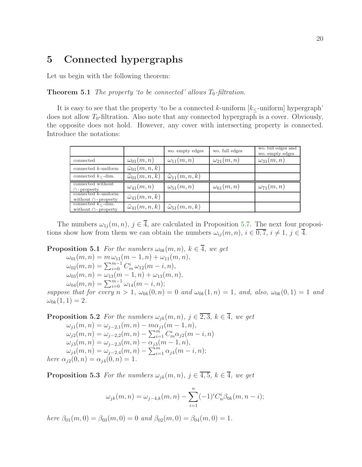## 5 Connected hypergraphs

<span id="page-19-0"></span>Let us begin with the following theorem:

**Theorem 5.1** The property 'to be connected' allows  $T_0$ -filtration.

It is easy to see that the property 'to be a connected k-uniform  $[k<$ -uniform] hypergraph' does not allow  $T_0$ -filtration. Also note that any connected hypergraph is a cover. Obviously, the opposite does not hold. However, any cover with intersecting property is connected. Introduce the notations:

|                                                        |                            | wo. empty edges            | wo. full edges     | wo. full edges and<br>wo. empty edges |
|--------------------------------------------------------|----------------------------|----------------------------|--------------------|---------------------------------------|
| connected                                              | $\omega_{01}(m,n)$         | $\omega_{11}(m,n)$         | $\omega_{21}(m,n)$ | $\omega_{31}(m,n)$                    |
| connected $k$ -uniform                                 | $\bar{\omega}_{01}(m,n,k)$ |                            |                    |                                       |
| connected $k_{\leq}$ -dim.                             | $\bar{\omega}_{01}(m,n,k)$ | $\bar{\omega}_{11}(m,n,k)$ |                    |                                       |
| connected without<br>$\cap$ -property                  | $\omega_{41}(m,n)$         | $\omega_{51}(m,n)$         | $\omega_{61}(m,n)$ | $\omega_{71}(m,n)$                    |
| connected $k$ -uniform<br>without $\cap$ -property     | $\bar{\omega}_{41}(m,n,k)$ |                            |                    |                                       |
| connected $k_{\leq}$ -dim.<br>without $\cap$ -property | $\bar{w}_{41}(m,n,k)$      | $\bar{\omega}_{51}(m,n,k)$ |                    |                                       |

The numbers  $\omega_{1i}(m, n)$ ,  $j \in \overline{4}$ , are calculated in Proposition [5.7.](#page-21-0) The next four propositions show how from them we can obtain the numbers  $\omega_{ij}(m, n)$ ,  $i \in \overline{0, 7}$ ,  $i \neq 1$ ,  $j \in \overline{4}$ .

**Proposition 5.1** For the numbers  $\omega_{0k}(m, n)$ ,  $k \in \overline{4}$ , we get

 $\omega_{01}(m, n) = m \omega_{11}(m - 1, n) + \omega_{11}(m, n),$  $\omega_{02}(m,n) = \sum_{i=0}^{m-1} C_m^i \omega_{12}(m-i,n),$  $\omega_{03}(m, n) = \omega_{13}(m - 1, n) + \omega_{13}(m, n),$  $\omega_{04}(m,n) = \sum_{i=0}^{m-1} \omega_{14}(m-i,n);$ 

suppose that for every  $n > 1$ ,  $\omega_{0k}(0, n) = 0$  and  $\omega_{0k}(1, n) = 1$ , and, also,  $\omega_{0k}(0, 1) = 1$  and  $\omega_{0k}(1,1) = 2.$ 

**Proposition 5.2** For the numbers  $\omega_{jk}(m, n)$ ,  $j \in \overline{2,3}$ ,  $k \in \overline{4}$ , we get  $\omega_{i1}(m, n) = \omega_{i-2,1}(m, n) - m\alpha_{i1}(m - 1, n),$ 

 $\omega_{j2}(m,n) = \omega_{j-2,2}(m,n) - \sum_{i=1}^{m} C^{i}_{m} \alpha_{j2}(m-i,n)$  $\omega_{j3}(m, n) = \omega_{j-2,3}(m, n) - \alpha_{j3}(m - 1, n),$  $\omega_{j4}(m,n) = \omega_{j-2,4}(m,n) - \sum_{i=1}^{m} \alpha_{j4}(m-i,n);$ here  $\alpha_{j2}(0, n) = \alpha_{j4}(0, n) = 1$ .

**Proposition 5.3** For the numbers  $\omega_{jk}(m, n)$ ,  $j \in \overline{4, 5}$ ,  $k \in \overline{4}$ , we get

$$
\omega_{jk}(m,n) = \omega_{j-4,k}(m,n) - \sum_{i=1}^n (-1)^i C_n^i \beta_{0k}(m,n-i);
$$

here  $\beta_{01}(m,0) = \beta_{03}(m,0) = 0$  and  $\beta_{02}(m,0) = \beta_{04}(m,0) = 1$ .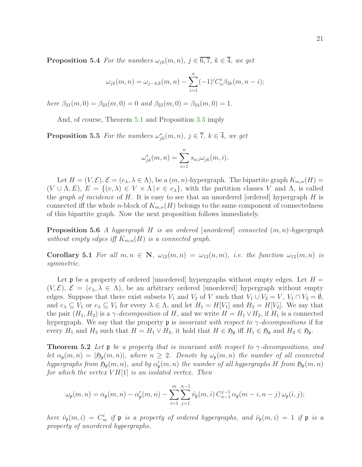**Proposition 5.4** For the numbers  $\omega_{jk}(m, n)$ ,  $j \in \overline{6, 7}$ ,  $k \in \overline{4}$ , we get

$$
\omega_{jk}(m,n) = \omega_{j-4,k}(m,n) - \sum_{i=1}^n (-1)^i C_n^i \beta_{2k}(m,n-i);
$$

here  $\beta_{21}(m,0) = \beta_{23}(m,0) = 0$  and  $\beta_{22}(m,0) = \beta_{24}(m,0) = 1$ .

And, of course, Theorem [5.1](#page-19-0) and Proposition [3.3](#page-8-4) imply

**Proposition 5.5** For the numbers  $\omega_{jk}^*(m,n)$ ,  $j \in \overline{7}$ ,  $k \in \overline{4}$ , we get

$$
\omega_{jk}^*(m, n) = \sum_{i=1}^n s_{n,i} \omega_{jk}(m, i).
$$

Let  $H = (V, \mathcal{E}), \mathcal{E} = (e_{\lambda}, \lambda \in \Lambda),$  be a  $(m, n)$ -hypergraph. The bipartite graph  $K_{m,n}(H)$  $(V \cup \Lambda, E), E = \{(v, \lambda) \in V \times \Lambda \mid v \in e_{\lambda}\}\$ , with the partition classes V and  $\Lambda$ , is called the *graph of incidence* of  $H$ . It is easy to see that an unordered [ordered] hypergraph  $H$  is connected iff the whole *n*-block of  $K_{m,n}(H)$  belongs to the same component of connectedness of this bipartite graph. Now the next proposition follows immediately.

**Proposition 5.6** A hypergraph H is an ordered [unordered] connected  $(m, n)$ -hypergraph without empty edges iff  $K_{m,n}(H)$  is a connected graph.

**Corollary 5.1** For all  $m, n \in \mathbb{N}$ ,  $\omega_{12}(m, n) = \omega_{12}(n, m)$ , i.e. the function  $\omega_{12}(m, n)$  is symmetric.

Let p be a property of ordered [unordered] hypergraphs without empty edges. Let  $H =$  $(V,\mathcal{E}),\ \mathcal{E}=(e_{\lambda},\lambda\in\Lambda),\$ be an arbitrary ordered [unordered] hypergraph without empty edges. Suppose that there exist subsets  $V_1$  and  $V_2$  of V such that  $V_1 \cup V_2 = V$ ,  $V_1 \cap V_2 = \emptyset$ , and  $e_{\lambda} \subseteq V_1$  or  $e_{\lambda} \subseteq V_1$  for every  $\lambda \in \Lambda$ , and let  $H_1 = H[V_1]$  and  $H_2 = H[V_2]$ . We say that the pair  $(H_1, H_2)$  is a  $\gamma$ -decomposition of H, and we write  $H = H_1 \vee H_2$ , if  $H_1$  is a connected hypergraph. We say that the property **p** is *invariant with respect to*  $\gamma$ -decompositions if for every  $H_1$  and  $H_2$  such that  $H = H_1 \vee H_2$ , it hold that  $H \in \mathfrak{H}_{\mathfrak{p}}$  iff  $H_1 \in \mathfrak{H}_{\mathfrak{p}}$  and  $H_2 \in \mathfrak{H}_{\mathfrak{p}}$ .

<span id="page-20-0"></span>**Theorem 5.2** Let  $\mathfrak{p}$  be a property that is invariant with respect to  $\gamma$ -decompositions, and let  $\alpha_{\mathfrak{p}}(m,n) = |\mathfrak{H}_{\mathfrak{p}}(m,n)|$ , where  $n \geq 2$ . Denote by  $\omega_{\mathfrak{p}}(m,n)$  the number of all connected hypergraphs from  $\mathfrak{H}_{\mathfrak{p}}(m,n)$ , and by  $\alpha'_{\mathfrak{p}}(m,n)$  the number of all hypergraphs H from  $\mathfrak{H}_{\mathfrak{p}}(m,n)$ for which the vertex  $V H[1]$  is an isolated vertex. Then

$$
\omega_{\mathfrak{p}}(m,n) = \alpha_{\mathfrak{p}}(m,n) - \alpha'_{\mathfrak{p}}(m,n) - \sum_{i=1}^{m} \sum_{j=1}^{n-1} \hat{\nu}_{\mathfrak{p}}(m,i) C_{n-1}^{j-1} \alpha_{\mathfrak{p}}(m-i,n-j) \omega_{\mathfrak{p}}(i,j);
$$

here  $\hat{\nu}_{\mathfrak{p}}(m,i) = C_m^i$  if  $\mathfrak{p}$  is a property of ordered hypergraphs, and  $\hat{\nu}_{\mathfrak{p}}(m,i) = 1$  if  $\mathfrak{p}$  is a property of unordered hypergraphs.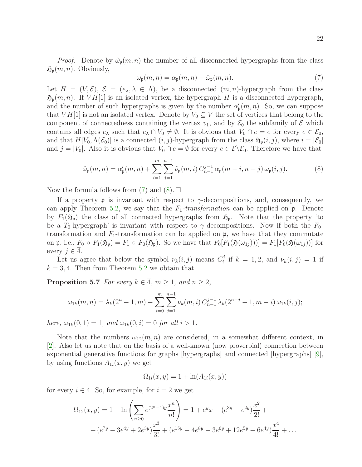*Proof.* Denote by  $\hat{\omega}_{p}(m, n)$  the number of all disconnected hypergraphs from the class  $\mathfrak{H}_{p}(m, n)$ . Obviously,

<span id="page-21-2"></span><span id="page-21-1"></span>
$$
\omega_{\mathfrak{p}}(m,n) = \alpha_{\mathfrak{p}}(m,n) - \hat{\omega}_{\mathfrak{p}}(m,n). \tag{7}
$$

Let  $H = (V, \mathcal{E}), \mathcal{E} = (e_{\lambda}, \lambda \in \Lambda)$ , be a disconnected  $(m, n)$ -hypergraph from the class  $\mathfrak{H}_{p}(m, n)$ . If  $V H[1]$  is an isolated vertex, the hypergraph H is a disconnected hypergraph, and the number of such hypergraphs is given by the number  $\alpha'_{\mathfrak{p}}(m,n)$ . So, we can suppose that  $V H[1]$  is not an isolated vertex. Denote by  $V_0 \subseteq V$  the set of vertices that belong to the component of connectedness containing the vertex  $v_1$ , and by  $\mathcal{E}_0$  the subfamily of  $\mathcal E$  which contains all edges  $e_\lambda$  such that  $e_\lambda \cap V_0 \neq \emptyset$ . It is obvious that  $V_0 \cap e = e$  for every  $e \in \mathcal{E}_0$ , and that  $H[V_0, \Lambda(\mathcal{E}_0)]$  is a connected  $(i, j)$ -hypergraph from the class  $\mathfrak{H}_{\mathfrak{p}}(i, j)$ , where  $i = |\mathcal{E}_0|$ and  $j = |V_0|$ . Also it is obvious that  $V_0 \cap e = \emptyset$  for every  $e \in \mathcal{E} \setminus \mathcal{E}_0$ . Therefore we have that

$$
\hat{\omega}_{\mathfrak{p}}(m,n) = \alpha_{\mathfrak{p}}'(m,n) + \sum_{i=1}^{m} \sum_{j=1}^{n-1} \hat{\nu}_{\mathfrak{p}}(m,i) C_{n-1}^{j-1} \alpha_{\mathfrak{p}}(m-i,n-j) \omega_{\mathfrak{p}}(i,j).
$$
(8)

Now the formula follows from  $(7)$  and  $(8)$ .

If a property **p** is invariant with respect to  $\gamma$ -decompositions, and, consequently, we can apply Theorem [5.2,](#page-20-0) we say that the  $F_1$ -transformation can be applied on  $\mathfrak{p}$ . Denote by  $F_1(\mathfrak{H}_p)$  the class of all connected hypergraphs from  $\mathfrak{H}_p$ . Note that the property 'to be a  $T_0$ -hypergraph' is invariant with respect to  $\gamma$ -decompositions. Now if both the  $F_0$ transformation and  $F_1$ -transformation can be applied on  $\mathfrak{p}$ , we have that they commutate on p, i.e.,  $F_0 \circ F_1(\mathfrak{H}_{\mathfrak{p}}) = F_1 \circ F_0(\mathfrak{H}_{\mathfrak{p}})$ . So we have that  $F_0[F_1(\mathfrak{H}(\omega_{1j}))] = F_1[F_0(\mathfrak{H}(\omega_{1j}))]$  for every  $j \in \overline{4}$ .

<span id="page-21-0"></span>Let us agree that below the symbol  $\nu_k(i,j)$  means  $C_i^j$  $\hat{u}_i^j$  if  $k = 1, 2$ , and  $\nu_k(i,j) = 1$  if  $k = 3, 4$ . Then from Theorem [5.2](#page-20-0) we obtain that

**Proposition 5.7** For every  $k \in \overline{4}$ ,  $m \ge 1$ , and  $n \ge 2$ ,

$$
\omega_{1k}(m,n) = \lambda_k(2^n - 1, m) - \sum_{i=0}^m \sum_{j=1}^{n-1} \nu_k(m,i) C_{n-1}^{j-1} \lambda_k(2^{n-j} - 1, m-i) \omega_{1k}(i,j);
$$

here,  $\omega_{1k}(0, 1) = 1$ , and  $\omega_{1k}(0, i) = 0$  for all  $i > 1$ .

Note that the numbers  $\omega_{12}(m, n)$  are considered, in a somewhat different context, in [\[2\]](#page-22-1). Also let us note that on the basis of a well-known (now proverbial) connection between exponential generative functions for graphs [hypergraphs] and connected [hypergraphs] [\[9\]](#page-23-5), by using functions  $A_{1i}(x, y)$  we get

$$
\Omega_{1i}(x, y) = 1 + \ln(A_{1i}(x, y))
$$

for every  $i \in \overline{4}$ . So, for example, for  $i = 2$  we get

$$
\Omega_{12}(x,y) = 1 + \ln\left(\sum_{n\geq 0} e^{(2^n-1)y}\frac{x^n}{n!}\right) = 1 + e^y x + (e^{3y} - e^{2y})\frac{x^2}{2!} +
$$
  
+ 
$$
(e^{7y} - 3e^{4y} + 2e^{3y})\frac{x^3}{3!} + (e^{15y} - 4e^{8y} - 3e^{6y} + 12e^{5y} - 6e^{4y})\frac{x^4}{4!} + \dots
$$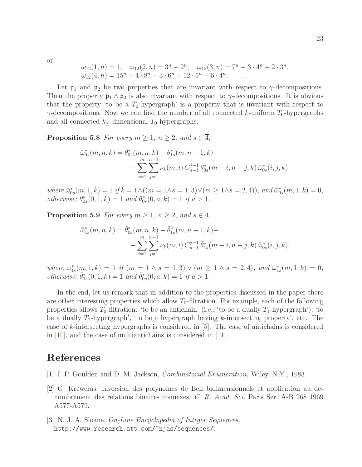or

$$
\omega_{12}(1, n) = 1, \quad \omega_{12}(2, n) = 3^{n} - 2^{n}, \quad \omega_{12}(3, n) = 7^{n} - 3 \cdot 4^{n} + 2 \cdot 3^{n}, \n\omega_{12}(4, n) = 15^{n} - 4 \cdot 8^{n} - 3 \cdot 6^{n} + 12 \cdot 5^{n} - 6 \cdot 4^{n}, \quad \dots
$$

Let  $\mathfrak{p}_1$  and  $\mathfrak{p}_2$  be two properties that are invariant with respect to  $\gamma$ -decompositions. Then the property  $\mathfrak{p}_1 \wedge \mathfrak{p}_2$  is also invariant with respect to  $\gamma$ -decompositions. It is obvious that the property 'to be a  $T_0$ -hypergraph' is a property that is invariant with respect to  $\gamma$ -decompositions. Now we can find the number of all connected k-uniform  $T_0$ -hypergraphs and all connected  $k<$ -dimensional  $T_0$ -hypergraphs.

**Proposition 5.8** For every  $m \geq 1$ ,  $n \geq 2$ , and  $s \in \overline{4}$ ,

$$
\bar{\omega}_{0s}^{*}(m, n, k) = \theta_{0s}^{*}(m, n, k) - \theta_{1s}^{*}(m, n - 1, k) -
$$
  
- 
$$
\sum_{i=1}^{m} \sum_{j=1}^{n-1} \nu_{k}(m, i) C_{n-1}^{j-1} \theta_{0s}^{*}(m - i, n - j, k) \bar{\omega}_{0s}^{*}(i, j, k);
$$

where  $\bar{\omega}_{0s}^*(m, 1, k) = 1$  if  $k = 1 \wedge ((m = 1 \wedge s = 1, 3) \vee (m \ge 1 \wedge s = 2, 4))$ , and  $\bar{\omega}_{0s}^*(m, 1, k) = 0$ , *otherwise*;  $\theta_{0s}^*(0, 1, k) = 1$  and  $\theta_{0s}^*(0, a, k) = 1$  if  $a > 1$ .

**Proposition 5.9** For every  $m \geq 1$ ,  $n \geq 2$ , and  $s \in \overline{4}$ ,

$$
\bar{\bar{\omega}}_{1s}^*(m, n, k) = \bar{\theta}_{0s}^*(m, n, k) - \bar{\theta}_{1s}^*(m, n - 1, k) -
$$
  
- 
$$
\sum_{i=1}^m \sum_{j=1}^{n-1} \nu_k(m, i) C_{n-1}^{j-1} \bar{\theta}_{1s}^*(m - i, n - j, k) \bar{\bar{\omega}}_{0s}^*(i, j, k);
$$

where  $\bar{\omega}_{1s}^*(m,1,k) = 1$  if  $(m = 1 \land s = 1,3) \lor (m \geq 1 \land s = 2,4)$ , and  $\bar{\omega}_{1s}^*(m,1,k) = 0$ , otherwise;  $\bar{\theta}_{0s}^{*}(0,1,k) = 1$  and  $\bar{\theta}_{0s}^{*}(0,a,k) = 1$  if  $a > 1$ .

In the end, let us remark that in addition to the properties discussed in the paper there are other interesting properties which allow  $T_0$ -filtration. For example, each of the following properties allows  $T_0$ -filtration: 'to be an antichain' (i.e., 'to be a dually  $T_1$ -hypergraph'), 'to be a dually  $T_2$ -hypergraph', 'to be a hypergraph having k-intersecting property', etc. The case of k-intersecting hypergraphs is considered in  $[5]$ . The case of antichains is considered in [\[10\]](#page-23-6), and the case of multiantichains is considered in [\[11\]](#page-23-7).

## <span id="page-22-0"></span>References

- <span id="page-22-1"></span>[1] I. P. Goulden and D. M. Jackson, Combinatorial Enumeration, Wiley, N.Y., 1983.
- [2] G. Kreweras, Inversion des polynomes de Bell bidimensionnels et application au denombrement des relations binaires connexes. C. R. Acad. Sci. Paris Ser. A-B 268 1969 A577-A579.
- <span id="page-22-2"></span>[3] N. J. A. Sloane, On-Line Encyclopedia of Integer Sequences, http://www.research.att.com/~njas/sequences/.